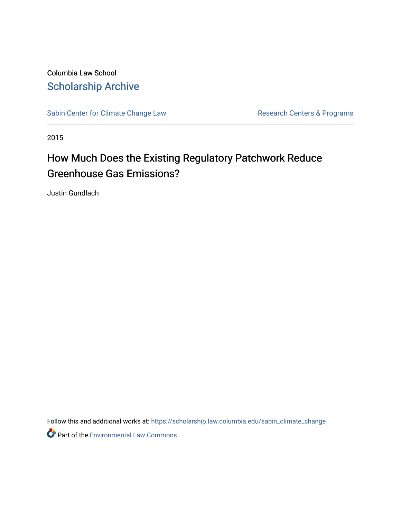Columbia Law School [Scholarship Archive](https://scholarship.law.columbia.edu/) 

[Sabin Center for Climate Change Law](https://scholarship.law.columbia.edu/sabin_climate_change) Research Centers & Programs

2015

# How Much Does the Existing Regulatory Patchwork Reduce Greenhouse Gas Emissions?

Justin Gundlach

Follow this and additional works at: [https://scholarship.law.columbia.edu/sabin\\_climate\\_change](https://scholarship.law.columbia.edu/sabin_climate_change?utm_source=scholarship.law.columbia.edu%2Fsabin_climate_change%2F121&utm_medium=PDF&utm_campaign=PDFCoverPages) 

Part of the [Environmental Law Commons](http://network.bepress.com/hgg/discipline/599?utm_source=scholarship.law.columbia.edu%2Fsabin_climate_change%2F121&utm_medium=PDF&utm_campaign=PDFCoverPages)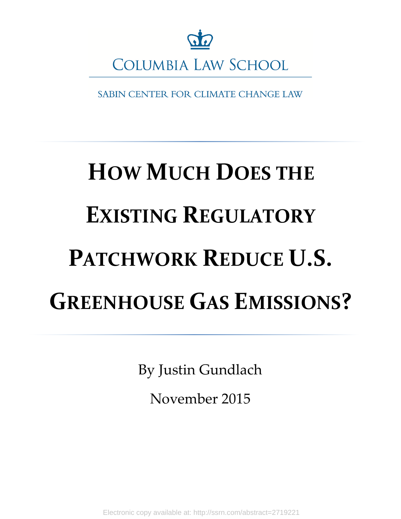

SABIN CENTER FOR CLIMATE CHANGE LAW

# **HOW MUCH DOES THE EXISTING REGULATORY PATCHWORK REDUCE U.S. GREENHOUSE GAS EMISSIONS?**

By Justin Gundlach

November 2015

Electronic copy available at: http://ssrn.com/abstract=2719221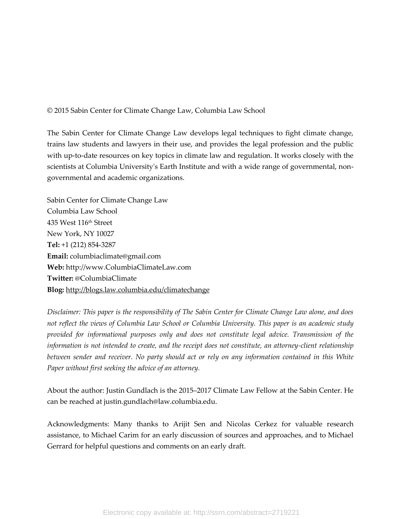© 2015 Sabin Center for Climate Change Law, Columbia Law School

The Sabin Center for Climate Change Law develops legal techniques to fight climate change, trains law students and lawyers in their use, and provides the legal profession and the public with up-to-date resources on key topics in climate law and regulation. It works closely with the scientists at Columbia University's Earth Institute and with a wide range of governmental, nongovernmental and academic organizations.

Sabin Center for Climate Change Law Columbia Law School 435 West 116th Street New York, NY 10027 **Tel:** +1 (212) 854-3287 **Email:** columbiaclimate@gmail.com **Web:** http://www.ColumbiaClimateLaw.com **Twitter:** @ColumbiaClimate **Blog:** <http://blogs.law.columbia.edu/climatechange>

*Disclaimer: This paper is the responsibility of The Sabin Center for Climate Change Law alone, and does not reflect the views of Columbia Law School or Columbia University. This paper is an academic study provided for informational purposes only and does not constitute legal advice. Transmission of the information is not intended to create, and the receipt does not constitute, an attorney-client relationship between sender and receiver. No party should act or rely on any information contained in this White Paper without first seeking the advice of an attorney.* 

About the author: Justin Gundlach is the 2015–2017 Climate Law Fellow at the Sabin Center. He can be reached at justin.gundlach@law.columbia.edu.

Acknowledgments: Many thanks to Arijit Sen and Nicolas Cerkez for valuable research assistance, to Michael Carim for an early discussion of sources and approaches, and to Michael Gerrard for helpful questions and comments on an early draft.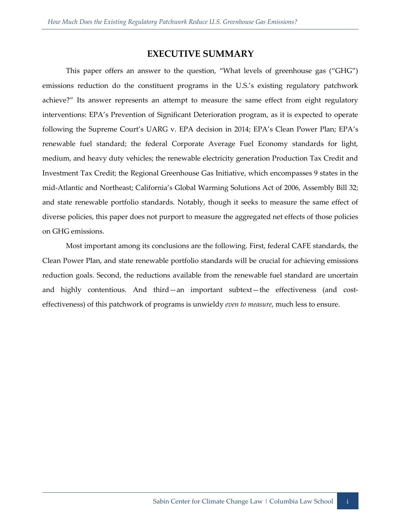## **EXECUTIVE SUMMARY**

This paper offers an answer to the question, "What levels of greenhouse gas ("GHG") emissions reduction do the constituent programs in the U.S.'s existing regulatory patchwork achieve?" Its answer represents an attempt to measure the same effect from eight regulatory interventions: EPA's Prevention of Significant Deterioration program, as it is expected to operate following the Supreme Court's UARG v. EPA decision in 2014; EPA's Clean Power Plan; EPA's renewable fuel standard; the federal Corporate Average Fuel Economy standards for light, medium, and heavy duty vehicles; the renewable electricity generation Production Tax Credit and Investment Tax Credit; the Regional Greenhouse Gas Initiative, which encompasses 9 states in the mid-Atlantic and Northeast; California's Global Warming Solutions Act of 2006, Assembly Bill 32; and state renewable portfolio standards. Notably, though it seeks to measure the same effect of diverse policies, this paper does not purport to measure the aggregated net effects of those policies on GHG emissions.

Most important among its conclusions are the following. First, federal CAFE standards, the Clean Power Plan, and state renewable portfolio standards will be crucial for achieving emissions reduction goals. Second, the reductions available from the renewable fuel standard are uncertain and highly contentious. And third—an important subtext—the effectiveness (and costeffectiveness) of this patchwork of programs is unwieldy *even to measure*, much less to ensure.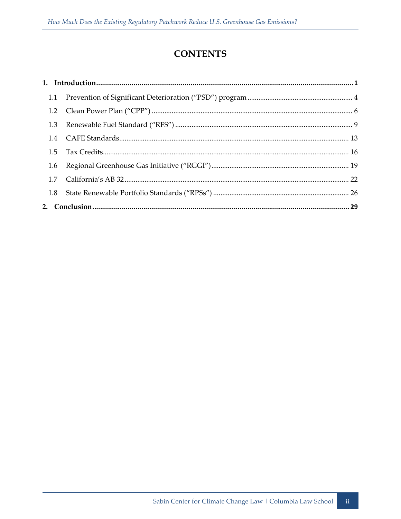# **CONTENTS**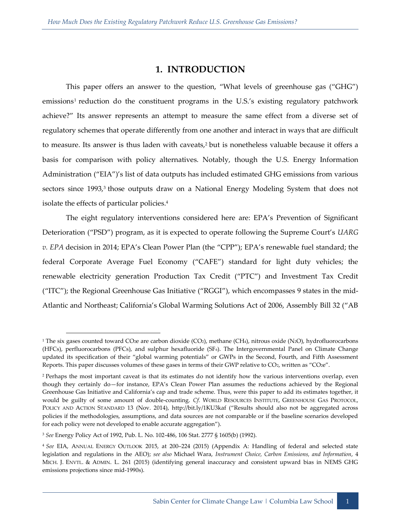#### **1. INTRODUCTION**

<span id="page-5-0"></span>This paper offers an answer to the question, "What levels of greenhouse gas ("GHG") emissions<sup>1</sup> reduction do the constituent programs in the U.S.'s existing regulatory patchwork achieve?" Its answer represents an attempt to measure the same effect from a diverse set of regulatory schemes that operate differently from one another and interact in ways that are difficult to measure. Its answer is thus laden with caveats,<sup>2</sup> but is nonetheless valuable because it offers a basis for comparison with policy alternatives. Notably, though the U.S. Energy Information Administration ("EIA")'s list of data outputs has included estimated GHG emissions from various sectors since 1993,<sup>3</sup> those outputs draw on a National Energy Modeling System that does not isolate the effects of particular policies.<sup>4</sup>

The eight regulatory interventions considered here are: EPA's Prevention of Significant Deterioration ("PSD") program, as it is expected to operate following the Supreme Court's *UARG v. EPA* decision in 2014; EPA's Clean Power Plan (the "CPP"); EPA's renewable fuel standard; the federal Corporate Average Fuel Economy ("CAFE") standard for light duty vehicles; the renewable electricity generation Production Tax Credit ("PTC") and Investment Tax Credit ("ITC"); the Regional Greenhouse Gas Initiative ("RGGI"), which encompasses 9 states in the mid-Atlantic and Northeast; California's Global Warming Solutions Act of 2006, Assembly Bill 32 ("AB

<sup>&</sup>lt;sup>1</sup> The six gases counted toward CO<sub>2</sub>e are carbon dioxide (CO<sub>2</sub>), methane (CH<sub>4</sub>), nitrous oxide (N<sub>2</sub>O), hydrofluorocarbons (HFCs), perfluorocarbons (PFCs), and sulphur hexafluoride (SF6). The Intergovernmental Panel on Climate Change updated its specification of their "global warming potentials" or GWPs in the Second, Fourth, and Fifth Assessment Reports. This paper discusses volumes of these gases in terms of their GWP relative to CO2, written as "CO2e".

<sup>&</sup>lt;sup>2</sup> Perhaps the most important caveat is that its estimates do not identify how the various interventions overlap, even though they certainly do—for instance, EPA's Clean Power Plan assumes the reductions achieved by the Regional Greenhouse Gas Initiative and California's cap and trade scheme. Thus, were this paper to add its estimates together, it would be guilty of some amount of double-counting. *Cf.* WORLD RESOURCES INSTITUTE, GREENHOUSE GAS PROTOCOL, POLICY AND ACTION STANDARD 13 (Nov. 2014), http://bit.ly/1KU3kaf ("Results should also not be aggregated across policies if the methodologies, assumptions, and data sources are not comparable or if the baseline scenarios developed for each policy were not developed to enable accurate aggregation").

<sup>3</sup> *See* Energy Policy Act of 1992, Pub. L. No. 102-486, 106 Stat. 2777 § 1605(b) (1992).

<sup>4</sup> *See* EIA, ANNUAL ENERGY OUTLOOK 2015, at 200–224 (2015) (Appendix A: Handling of federal and selected state legislation and regulations in the AEO); *see also* Michael Wara, *Instrument Choice, Carbon Emissions, and Information*, 4 MICH. J. ENVTL. & ADMIN. L. 261 (2015) (identifying general inaccuracy and consistent upward bias in NEMS GHG emissions projections since mid-1990s).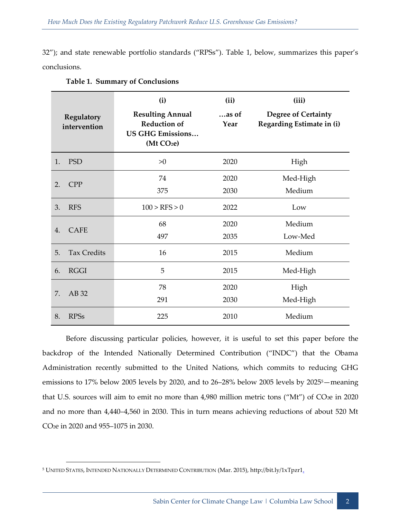32"); and state renewable portfolio standards ("RPSs"). Table 1, below, summarizes this paper's conclusions.

| Regulatory<br>intervention |                    | (i)<br><b>Resulting Annual</b><br><b>Reduction of</b><br><b>US GHG Emissions</b><br>(Mt CO <sub>2</sub> e) | (ii)<br>$$ as of<br>Year | (iii)<br><b>Degree of Certainty</b><br>Regarding Estimate in (i) |
|----------------------------|--------------------|------------------------------------------------------------------------------------------------------------|--------------------------|------------------------------------------------------------------|
| 1.                         | <b>PSD</b>         | >0                                                                                                         | 2020                     | High                                                             |
| 2.                         | <b>CPP</b>         | 74                                                                                                         | 2020                     | Med-High                                                         |
|                            |                    | 375                                                                                                        | 2030                     | Medium                                                           |
| 3.                         | <b>RFS</b>         | 100 > RFS > 0                                                                                              | 2022                     | Low                                                              |
| $\overline{4}$ .           | <b>CAFE</b>        | 68                                                                                                         | 2020                     | Medium                                                           |
|                            |                    | 497                                                                                                        | 2035                     | Low-Med                                                          |
| 5.                         | <b>Tax Credits</b> | 16                                                                                                         | 2015                     | Medium                                                           |
| 6.                         | <b>RGGI</b>        | 5                                                                                                          | 2015                     | Med-High                                                         |
| 7.                         | AB 32              | 78                                                                                                         | 2020                     | High                                                             |
|                            |                    | 291                                                                                                        | 2030                     | Med-High                                                         |
| 8.                         | <b>RPSs</b>        | 225                                                                                                        | 2010                     | Medium                                                           |

#### **Table 1. Summary of Conclusions**

Before discussing particular policies, however, it is useful to set this paper before the backdrop of the Intended Nationally Determined Contribution ("INDC") that the Obama Administration recently submitted to the United Nations, which commits to reducing GHG emissions to 17% below 2005 levels by 2020, and to 26–28% below 2005 levels by 20255—meaning that U.S. sources will aim to emit no more than 4,980 million metric tons ("Mt") of CO<sub>2</sub>e in 2020 and no more than 4,440–4,560 in 2030. This in turn means achieving reductions of about 520 Mt CO2e in 2020 and 955–1075 in 2030.

<sup>5</sup> UNITED STATES, INTENDED NATIONALLY DETERMINED CONTRIBUTION (Mar. 2015), http://bit.ly/1xTpzr1.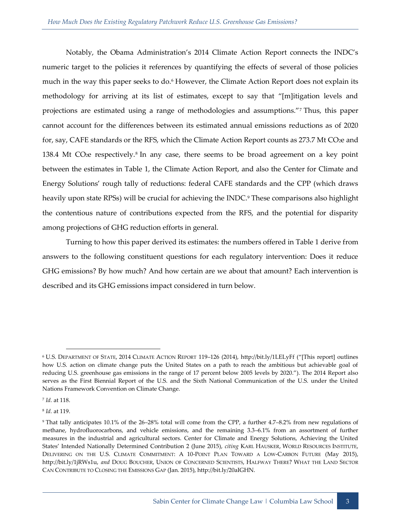Notably, the Obama Administration's 2014 Climate Action Report connects the INDC's numeric target to the policies it references by quantifying the effects of several of those policies much in the way this paper seeks to do.<sup>6</sup> However, the Climate Action Report does not explain its methodology for arriving at its list of estimates, except to say that "[m]itigation levels and projections are estimated using a range of methodologies and assumptions."<sup>7</sup> Thus, this paper cannot account for the differences between its estimated annual emissions reductions as of 2020 for, say, CAFE standards or the RFS, which the Climate Action Report counts as 273.7 Mt CO<sub>2e</sub> and 138.4 Mt CO<sub>2</sub>e respectively.<sup>8</sup> In any case, there seems to be broad agreement on a key point between the estimates in Table 1, the Climate Action Report, and also the Center for Climate and Energy Solutions' rough tally of reductions: federal CAFE standards and the CPP (which draws heavily upon state RPSs) will be crucial for achieving the INDC.<sup>9</sup> These comparisons also highlight the contentious nature of contributions expected from the RFS, and the potential for disparity among projections of GHG reduction efforts in general.

Turning to how this paper derived its estimates: the numbers offered in Table 1 derive from answers to the following constituent questions for each regulatory intervention: Does it reduce GHG emissions? By how much? And how certain are we about that amount? Each intervention is described and its GHG emissions impact considered in turn below.

7 *Id.* at 118.

-

8 *Id.* at 119.

<sup>6</sup> U.S. DEPARTMENT OF STATE, 2014 CLIMATE ACTION REPORT 119–126 (2014), http://bit.ly/1LELyFf ("[This report] outlines how U.S. action on climate change puts the United States on a path to reach the ambitious but achievable goal of reducing U.S. greenhouse gas emissions in the range of 17 percent below 2005 levels by 2020."). The 2014 Report also serves as the First Biennial Report of the U.S. and the Sixth National Communication of the U.S. under the United Nations Framework Convention on Climate Change.

<sup>9</sup> That tally anticipates 10.1% of the 26–28% total will come from the CPP, a further 4.7–8.2% from new regulations of methane, hydrofluorocarbons, and vehicle emissions, and the remaining 3.3–6.1% from an assortment of further measures in the industrial and agricultural sectors. Center for Climate and Energy Solutions, Achieving the United States' Intended Nationally Determined Contribution 2 (June 2015), *citing* KARL HAUSKER, WORLD RESOURCES INSTITUTE, DELIVERING ON THE U.S. CLIMATE COMMITMENT: A 10-POINT PLAN TOWARD A LOW-CARBON FUTURE (May 2015), http://bit.ly/1jRWs1u, *and* DOUG BOUCHER, UNION OF CONCERNED SCIENTISTS, HALFWAY THERE? WHAT THE LAND SECTOR CAN CONTRIBUTE TO CLOSING THE EMISSIONS GAP (Jan. 2015), http://bit.ly/20aIGHN.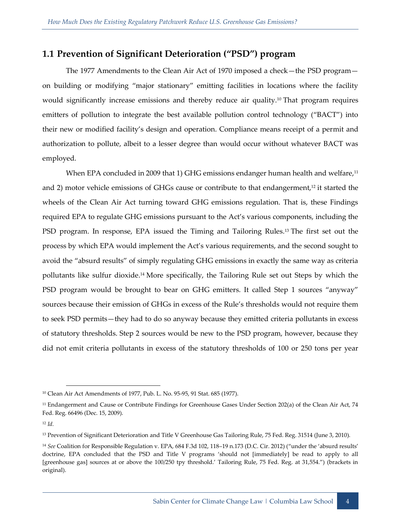# <span id="page-8-0"></span>**1.1 Prevention of Significant Deterioration ("PSD") program**

The 1977 Amendments to the Clean Air Act of 1970 imposed a check—the PSD program on building or modifying "major stationary" emitting facilities in locations where the facility would significantly increase emissions and thereby reduce air quality.<sup>10</sup> That program requires emitters of pollution to integrate the best available pollution control technology ("BACT") into their new or modified facility's design and operation. Compliance means receipt of a permit and authorization to pollute, albeit to a lesser degree than would occur without whatever BACT was employed.

When EPA concluded in 2009 that 1) GHG emissions endanger human health and welfare,<sup>11</sup> and 2) motor vehicle emissions of GHGs cause or contribute to that endangerment,<sup>12</sup> it started the wheels of the Clean Air Act turning toward GHG emissions regulation. That is, these Findings required EPA to regulate GHG emissions pursuant to the Act's various components, including the PSD program. In response, EPA issued the Timing and Tailoring Rules.<sup>13</sup> The first set out the process by which EPA would implement the Act's various requirements, and the second sought to avoid the "absurd results" of simply regulating GHG emissions in exactly the same way as criteria pollutants like sulfur dioxide.<sup>14</sup> More specifically, the Tailoring Rule set out Steps by which the PSD program would be brought to bear on GHG emitters. It called Step 1 sources "anyway" sources because their emission of GHGs in excess of the Rule's thresholds would not require them to seek PSD permits—they had to do so anyway because they emitted criteria pollutants in excess of statutory thresholds. Step 2 sources would be new to the PSD program, however, because they did not emit criteria pollutants in excess of the statutory thresholds of 100 or 250 tons per year

<sup>10</sup> Clean Air Act Amendments of 1977, Pub. L. No. 95-95, 91 Stat. 685 (1977).

<sup>&</sup>lt;sup>11</sup> Endangerment and Cause or Contribute Findings for Greenhouse Gases Under Section 202(a) of the Clean Air Act, 74 Fed. Reg. 66496 (Dec. 15, 2009).

<sup>12</sup> *Id.*

<sup>&</sup>lt;sup>13</sup> Prevention of Significant Deterioration and Title V Greenhouse Gas Tailoring Rule, 75 Fed. Reg. 31514 (June 3, 2010).

<sup>14</sup> *See* Coalition for Responsible Regulation v. EPA, 684 F.3d 102, 118–19 n.173 (D.C. Cir. 2012) ("under the 'absurd results' doctrine, EPA concluded that the PSD and Title V programs 'should not [immediately] be read to apply to all [greenhouse gas] sources at or above the 100/250 tpy threshold.' Tailoring Rule, 75 Fed. Reg. at 31,554.") (brackets in original).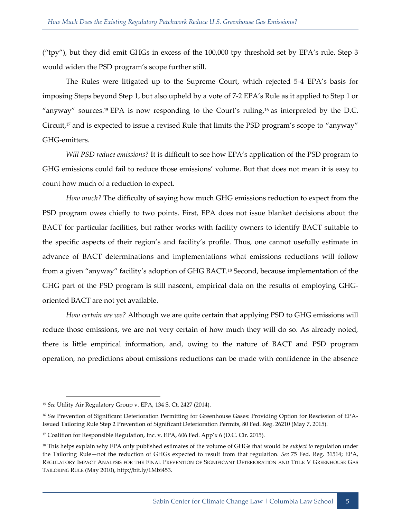("tpy"), but they did emit GHGs in excess of the 100,000 tpy threshold set by EPA's rule. Step 3 would widen the PSD program's scope further still.

The Rules were litigated up to the Supreme Court, which rejected 5-4 EPA's basis for imposing Steps beyond Step 1, but also upheld by a vote of 7-2 EPA's Rule as it applied to Step 1 or "anyway" sources.<sup>15</sup> EPA is now responding to the Court's ruling,<sup>16</sup> as interpreted by the D.C. Circuit,<sup>17</sup> and is expected to issue a revised Rule that limits the PSD program's scope to "anyway" GHG-emitters.

*Will PSD reduce emissions?* It is difficult to see how EPA's application of the PSD program to GHG emissions could fail to reduce those emissions' volume. But that does not mean it is easy to count how much of a reduction to expect.

*How much?* The difficulty of saying how much GHG emissions reduction to expect from the PSD program owes chiefly to two points. First, EPA does not issue blanket decisions about the BACT for particular facilities, but rather works with facility owners to identify BACT suitable to the specific aspects of their region's and facility's profile. Thus, one cannot usefully estimate in advance of BACT determinations and implementations what emissions reductions will follow from a given "anyway" facility's adoption of GHG BACT.<sup>18</sup> Second, because implementation of the GHG part of the PSD program is still nascent, empirical data on the results of employing GHGoriented BACT are not yet available.

*How certain are we?* Although we are quite certain that applying PSD to GHG emissions will reduce those emissions, we are not very certain of how much they will do so. As already noted, there is little empirical information, and, owing to the nature of BACT and PSD program operation, no predictions about emissions reductions can be made with confidence in the absence

<sup>15</sup> *See* Utility Air Regulatory Group v. EPA, 134 S. Ct. 2427 (2014).

<sup>16</sup> *See* Prevention of Significant Deterioration Permitting for Greenhouse Gases: Providing Option for Rescission of EPA-Issued Tailoring Rule Step 2 Prevention of Significant Deterioration Permits, 80 Fed. Reg. 26210 (May 7, 2015).

<sup>&</sup>lt;sup>17</sup> Coalition for Responsible Regulation, Inc. v. EPA, 606 Fed. App'x 6 (D.C. Cir. 2015).

<sup>18</sup> This helps explain why EPA only published estimates of the volume of GHGs that would be *subject to* regulation under the Tailoring Rule—not the reduction of GHGs expected to result from that regulation. *See* 75 Fed. Reg. 31514; EPA, REGULATORY IMPACT ANALYSIS FOR THE FINAL PREVENTION OF SIGNIFICANT DETERIORATION AND TITLE V GREENHOUSE GAS TAILORING RULE (May 2010), http://bit.ly/1Mbi453.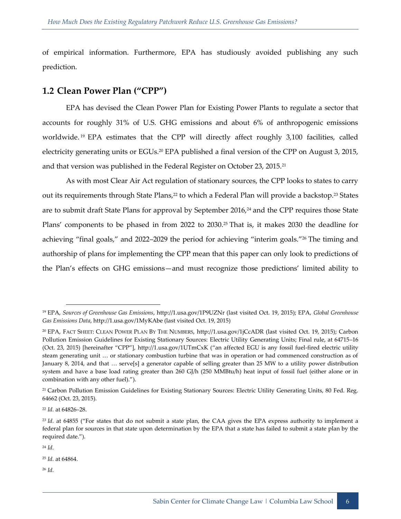of empirical information. Furthermore, EPA has studiously avoided publishing any such prediction.

### <span id="page-10-0"></span>**1.2 Clean Power Plan ("CPP")**

EPA has devised the Clean Power Plan for Existing Power Plants to regulate a sector that accounts for roughly 31% of U.S. GHG emissions and about 6% of anthropogenic emissions worldwide. <sup>19</sup> EPA estimates that the CPP will directly affect roughly 3,100 facilities, called electricity generating units or EGUs.<sup>20</sup> EPA published a final version of the CPP on August 3, 2015, and that version was published in the Federal Register on October 23, 2015.<sup>21</sup>

As with most Clear Air Act regulation of stationary sources, the CPP looks to states to carry out its requirements through State Plans,<sup>22</sup> to which a Federal Plan will provide a backstop.<sup>23</sup> States are to submit draft State Plans for approval by September 2016,<sup>24</sup> and the CPP requires those State Plans' components to be phased in from 2022 to 2030.<sup>25</sup> That is, it makes 2030 the deadline for achieving "final goals," and 2022–2029 the period for achieving "interim goals."<sup>26</sup> The timing and authorship of plans for implementing the CPP mean that this paper can only look to predictions of the Plan's effects on GHG emissions—and must recognize those predictions' limited ability to

<sup>19</sup> EPA, *Sources of Greenhouse Gas Emissions*, http://1.usa.gov/1P9UZNr (last visited Oct. 19, 2015); EPA, *Global Greenhouse Gas Emissions Data*, http://1.usa.gov/1MyKAbe (last visited Oct. 19, 2015)

<sup>20</sup> EPA, FACT SHEET: CLEAN POWER PLAN BY THE NUMBERS, http://1.usa.gov/1jCcADR (last visited Oct. 19, 2015); Carbon Pollution Emission Guidelines for Existing Stationary Sources: Electric Utility Generating Units; Final rule, at 64715–16 (Oct. 23, 2015) [hereinafter "CPP"], http://1.usa.gov/1UTmCxK ("an affected EGU is any fossil fuel-fired electric utility steam generating unit … or stationary combustion turbine that was in operation or had commenced construction as of January 8, 2014, and that … serve[s] a generator capable of selling greater than 25 MW to a utility power distribution system and have a base load rating greater than 260 GJ/h (250 MMBtu/h) heat input of fossil fuel (either alone or in combination with any other fuel).").

<sup>&</sup>lt;sup>21</sup> Carbon Pollution Emission Guidelines for Existing Stationary Sources: Electric Utility Generating Units, 80 Fed. Reg. 64662 (Oct. 23, 2015).

<sup>22</sup> *Id.* at 64826–28.

<sup>&</sup>lt;sup>23</sup> *Id.* at 64855 ("For states that do not submit a state plan, the CAA gives the EPA express authority to implement a federal plan for sources in that state upon determination by the EPA that a state has failed to submit a state plan by the required date.").

<sup>24</sup> *Id.*

<sup>25</sup> *Id.* at 64864.

<sup>26</sup> *Id.*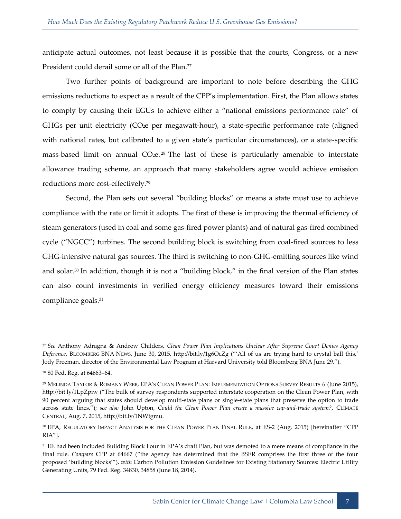anticipate actual outcomes, not least because it is possible that the courts, Congress, or a new President could derail some or all of the Plan.<sup>27</sup>

Two further points of background are important to note before describing the GHG emissions reductions to expect as a result of the CPP's implementation. First, the Plan allows states to comply by causing their EGUs to achieve either a "national emissions performance rate" of GHGs per unit electricity (CO<sub>2</sub>e per megawatt-hour), a state-specific performance rate (aligned with national rates, but calibrated to a given state's particular circumstances), or a state-specific mass-based limit on annual CO<sub>2</sub>e.<sup>28</sup> The last of these is particularly amenable to interstate allowance trading scheme, an approach that many stakeholders agree would achieve emission reductions more cost-effectively.<sup>29</sup>

Second, the Plan sets out several "building blocks" or means a state must use to achieve compliance with the rate or limit it adopts. The first of these is improving the thermal efficiency of steam generators (used in coal and some gas-fired power plants) and of natural gas-fired combined cycle ("NGCC") turbines. The second building block is switching from coal-fired sources to less GHG-intensive natural gas sources. The third is switching to non-GHG-emitting sources like wind and solar.<sup>30</sup> In addition, though it is not a "building block," in the final version of the Plan states can also count investments in verified energy efficiency measures toward their emissions compliance goals.<sup>31</sup>

<sup>27</sup> *See* Anthony Adragna & Andrew Childers, *Clean Power Plan Implications Unclear After Supreme Court Denies Agency Deference*, BLOOMBERG BNA NEWS, June 30, 2015, http://bit.ly/1g6OcZg ("'All of us are trying hard to crystal ball this,' Jody Freeman, director of the Environmental Law Program at Harvard University told Bloomberg BNA June 29.").

<sup>28</sup> 80 Fed. Reg. at 64663–64.

<sup>29</sup> MELINDA TAYLOR & ROMANY WEBB, EPA'S CLEAN POWER PLAN: IMPLEMENTATION OPTIONS SURVEY RESULTS 6 (June 2015), http://bit.ly/1LpZpiw ("The bulk of survey respondents supported interstate cooperation on the Clean Power Plan, with 90 percent arguing that states should develop multi-state plans or single-state plans that preserve the option to trade across state lines."); *see also* John Upton, *Could the Clean Power Plan create a massive cap-and-trade system?*, CLIMATE CENTRAL, Aug. 7, 2015, http://bit.ly/1NWtgmu.

<sup>30</sup> EPA, REGULATORY IMPACT ANALYSIS FOR THE CLEAN POWER PLAN FINAL RULE, at ES-2 (Aug. 2015) [hereinafter "CPP RIA"].

<sup>&</sup>lt;sup>31</sup> EE had been included Building Block Four in EPA's draft Plan, but was demoted to a mere means of compliance in the final rule. *Compare* CPP at 64667 ("the agency has determined that the BSER comprises the first three of the four proposed 'building blocks'"), *with* Carbon Pollution Emission Guidelines for Existing Stationary Sources: Electric Utility Generating Units, 79 Fed. Reg. 34830, 34858 (June 18, 2014).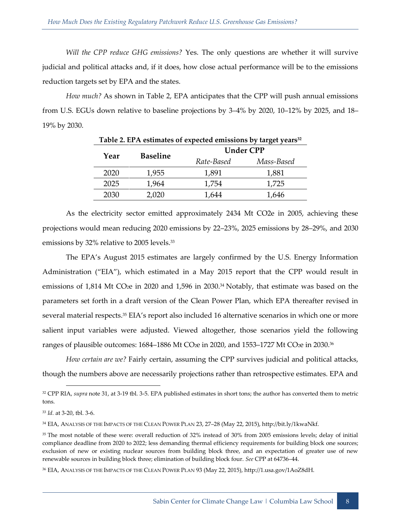*Will the CPP reduce GHG emissions?* Yes. The only questions are whether it will survive judicial and political attacks and, if it does, how close actual performance will be to the emissions reduction targets set by EPA and the states.

*How much?* As shown in Table 2, EPA anticipates that the CPP will push annual emissions from U.S. EGUs down relative to baseline projections by 3–4% by 2020, 10–12% by 2025, and 18– 19% by 2030.

|      | <b>Baseline</b> |            | <b>Under CPP</b> |  |
|------|-----------------|------------|------------------|--|
| Year |                 | Rate-Based | Mass-Based       |  |
| 2020 | 1,955           | 1,891      | 1,881            |  |
| 2025 | 1,964           | 1,754      | 1,725            |  |
| 2030 | 2,020           | 1,644      | 1,646            |  |

| Table 2. EPA estimates of expected emissions by target years <sup>32</sup> |
|----------------------------------------------------------------------------|
|----------------------------------------------------------------------------|

As the electricity sector emitted approximately 2434 Mt CO2e in 2005, achieving these projections would mean reducing 2020 emissions by 22–23%, 2025 emissions by 28–29%, and 2030 emissions by 32% relative to 2005 levels.<sup>33</sup>

The EPA's August 2015 estimates are largely confirmed by the U.S. Energy Information Administration ("EIA"), which estimated in a May 2015 report that the CPP would result in emissions of 1,814 Mt CO<sub>2</sub>e in 2020 and 1,596 in 2030.<sup>34</sup> Notably, that estimate was based on the parameters set forth in a draft version of the Clean Power Plan, which EPA thereafter revised in several material respects.<sup>35</sup> EIA's report also included 16 alternative scenarios in which one or more salient input variables were adjusted. Viewed altogether, those scenarios yield the following ranges of plausible outcomes: 1684-1886 Mt CO<sub>2</sub>e in 2020, and 1553-1727 Mt CO<sub>2</sub>e in 2030.<sup>36</sup>

*How certain are we?* Fairly certain, assuming the CPP survives judicial and political attacks, though the numbers above are necessarily projections rather than retrospective estimates. EPA and

<sup>33</sup> *Id.* at 3-20, tbl. 3-6.

<sup>32</sup> CPP RIA, *supra* note 31, at 3-19 tbl. 3-5. EPA published estimates in short tons; the author has converted them to metric tons.

<sup>34</sup> EIA, ANALYSIS OF THE IMPACTS OF THE CLEAN POWER PLAN 23, 27–28 (May 22, 2015), http://bit.ly/1kwaNkf.

<sup>&</sup>lt;sup>35</sup> The most notable of these were: overall reduction of 32% instead of 30% from 2005 emissions levels; delay of initial compliance deadline from 2020 to 2022; less demanding thermal efficiency requirements for building block one sources; exclusion of new or existing nuclear sources from building block three, and an expectation of greater use of new renewable sources in building block three; elimination of building block four. *See* CPP at 64736–44.

<sup>36</sup> EIA, ANALYSIS OF THE IMPACTS OF THE CLEAN POWER PLAN 93 (May 22, 2015), http://1.usa.gov/1AoZ8dH.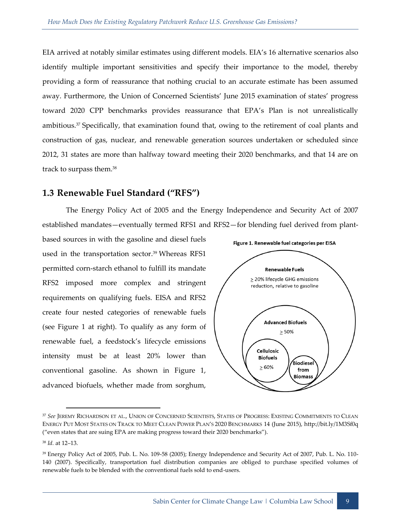EIA arrived at notably similar estimates using different models. EIA's 16 alternative scenarios also identify multiple important sensitivities and specify their importance to the model, thereby providing a form of reassurance that nothing crucial to an accurate estimate has been assumed away. Furthermore, the Union of Concerned Scientists' June 2015 examination of states' progress toward 2020 CPP benchmarks provides reassurance that EPA's Plan is not unrealistically ambitious.<sup>37</sup> Specifically, that examination found that, owing to the retirement of coal plants and construction of gas, nuclear, and renewable generation sources undertaken or scheduled since 2012, 31 states are more than halfway toward meeting their 2020 benchmarks, and that 14 are on track to surpass them.<sup>38</sup>

# <span id="page-13-0"></span>**1.3 Renewable Fuel Standard ("RFS")**

The Energy Policy Act of 2005 and the Energy Independence and Security Act of 2007 established mandates—eventually termed RFS1 and RFS2—for blending fuel derived from plant-

based sources in with the gasoline and diesel fuels used in the transportation sector.<sup>39</sup> Whereas RFS1 permitted corn-starch ethanol to fulfill its mandate RFS2 imposed more complex and stringent requirements on qualifying fuels. EISA and RFS2 create four nested categories of renewable fuels (see Figure 1 at right). To qualify as any form of renewable fuel, a feedstock's lifecycle emissions intensity must be at least 20% lower than conventional gasoline. As shown in Figure 1, advanced biofuels, whether made from sorghum,



<sup>37</sup> *See* JEREMY RICHARDSON ET AL., UNION OF CONCERNED SCIENTISTS, STATES OF PROGRESS: EXISTING COMMITMENTS TO CLEAN ENERGY PUT MOST STATES ON TRACK TO MEET CLEAN POWER PLAN'S 2020 BENCHMARKS 14 (June 2015), http://bit.ly/1M3Sf0q ("even states that are suing EPA are making progress toward their 2020 benchmarks").

<sup>38</sup> *Id.* at 12–13.

<sup>39</sup> Energy Policy Act of 2005, Pub. L. No. 109-58 (2005); Energy Independence and Security Act of 2007, Pub. L. No. 110- 140 (2007). Specifically, transportation fuel distribution companies are obliged to purchase specified volumes of renewable fuels to be blended with the conventional fuels sold to end-users.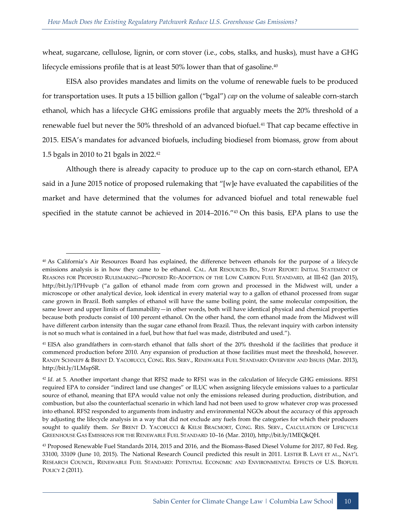wheat, sugarcane, cellulose, lignin, or corn stover (i.e., cobs, stalks, and husks), must have a GHG lifecycle emissions profile that is at least 50% lower than that of gasoline.<sup>40</sup>

EISA also provides mandates and limits on the volume of renewable fuels to be produced for transportation uses. It puts a 15 billion gallon ("bgal") *cap* on the volume of saleable corn-starch ethanol, which has a lifecycle GHG emissions profile that arguably meets the 20% threshold of a renewable fuel but never the 50% threshold of an advanced biofuel.<sup>41</sup> That cap became effective in 2015. EISA's mandates for advanced biofuels, including biodiesel from biomass, grow from about 1.5 bgals in 2010 to 21 bgals in 2022.<sup>42</sup>

Although there is already capacity to produce up to the cap on corn-starch ethanol, EPA said in a June 2015 notice of proposed rulemaking that "[w]e have evaluated the capabilities of the market and have determined that the volumes for advanced biofuel and total renewable fuel specified in the statute cannot be achieved in 2014–2016."<sup>43</sup> On this basis, EPA plans to use the

<sup>40</sup> As California's Air Resources Board has explained, the difference between ethanols for the purpose of a lifecycle emissions analysis is in how they came to be ethanol. CAL. AIR RESOURCES BD., STAFF REPORT: INITIAL STATEMENT OF REASONS FOR PROPOSED RULEMAKING--PROPOSED RE-ADOPTION OF THE LOW CARBON FUEL STANDARD, at III-62 (Jan 2015), http://bit.ly/1PHvupb ("a gallon of ethanol made from corn grown and processed in the Midwest will, under a microscope or other analytical device, look identical in every material way to a gallon of ethanol processed from sugar cane grown in Brazil. Both samples of ethanol will have the same boiling point, the same molecular composition, the same lower and upper limits of flammability—in other words, both will have identical physical and chemical properties because both products consist of 100 percent ethanol. On the other hand, the corn ethanol made from the Midwest will have different carbon intensity than the sugar cane ethanol from Brazil. Thus, the relevant inquiry with carbon intensity is not so much what is contained in a fuel, but how that fuel was made, distributed and used.").

<sup>41</sup> EISA also grandfathers in corn-starch ethanol that falls short of the 20% threshold if the facilities that produce it commenced production before 2010. Any expansion of production at those facilities must meet the threshold, however. RANDY SCHNEPF & BRENT D. YACOBUCCI, CONG. RES. SERV., RENEWABLE FUEL STANDARD: OVERVIEW AND ISSUES (Mar. 2013), http://bit.ly/1LMspSR.

<sup>&</sup>lt;sup>42</sup> *Id.* at 5. Another important change that RFS2 made to RFS1 was in the calculation of lifecycle GHG emissions. RFS1 required EPA to consider "indirect land use changes" or ILUC when assigning lifecycle emissions values to a particular source of ethanol, meaning that EPA would value not only the emissions released during production, distribution, and combustion, but also the counterfactual scenario in which land had not been used to grow whatever crop was processed into ethanol. RFS2 responded to arguments from industry and environmental NGOs about the accuracy of this approach by adjusting the lifecycle analysis in a way that did not exclude any fuels from the categories for which their producers sought to qualify them. *See* BRENT D. YACOBUCCI & KELSI BRACMORT, CONG. RES. SERV., CALCULATION OF LIFECYCLE GREENHOUSE GAS EMISSIONS FOR THE RENEWABLE FUEL STANDARD 10–16 (Mar. 2010), http://bit.ly/1MEQkQH.

<sup>43</sup> Proposed Renewable Fuel Standards 2014, 2015 and 2016, and the Biomass-Based Diesel Volume for 2017, 80 Fed. Reg. 33100, 33109 (June 10, 2015). The National Research Council predicted this result in 2011. LESTER B. LAVE ET AL., NAT'L RESEARCH COUNCIL, RENEWABLE FUEL STANDARD: POTENTIAL ECONOMIC AND ENVIRONMENTAL EFFECTS OF U.S. BIOFUEL POLICY 2 (2011).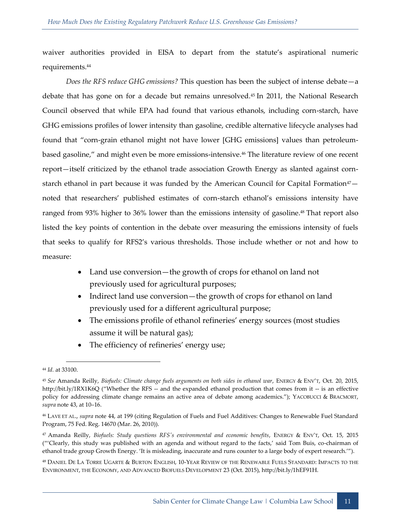waiver authorities provided in EISA to depart from the statute's aspirational numeric requirements.<sup>44</sup>

*Does the RFS reduce GHG emissions?* This question has been the subject of intense debate—a debate that has gone on for a decade but remains unresolved.<sup>45</sup> In 2011, the National Research Council observed that while EPA had found that various ethanols, including corn-starch, have GHG emissions profiles of lower intensity than gasoline, credible alternative lifecycle analyses had found that "corn-grain ethanol might not have lower [GHG emissions] values than petroleumbased gasoline," and might even be more emissions-intensive.<sup>46</sup> The literature review of one recent report—itself criticized by the ethanol trade association Growth Energy as slanted against cornstarch ethanol in part because it was funded by the American Council for Capital Formation<sup>47</sup> $$ noted that researchers' published estimates of corn-starch ethanol's emissions intensity have ranged from 93% higher to 36% lower than the emissions intensity of gasoline.<sup>48</sup> That report also listed the key points of contention in the debate over measuring the emissions intensity of fuels that seeks to qualify for RFS2's various thresholds. Those include whether or not and how to measure:

- Land use conversion—the growth of crops for ethanol on land not previously used for agricultural purposes;
- Indirect land use conversion—the growth of crops for ethanol on land previously used for a different agricultural purpose;
- The emissions profile of ethanol refineries' energy sources (most studies assume it will be natural gas);
- The efficiency of refineries' energy use;

<sup>44</sup> *Id.* at 33100.

<sup>45</sup> *See* Amanda Reilly, *Biofuels: Climate change fuels arguments on both sides in ethanol war*, ENERGY & ENV'T, Oct. 20, 2015, http://bit.ly/1RX1K6Q ("Whether the RFS -- and the expanded ethanol production that comes from it -- is an effective policy for addressing climate change remains an active area of debate among academics."); YACOBUCCI & BRACMORT, *supra* note 43, at 10–16.

<sup>46</sup> LAVE ET AL., *supra* note 44, at 199 (citing Regulation of Fuels and Fuel Additives: Changes to Renewable Fuel Standard Program, 75 Fed. Reg. 14670 (Mar. 26, 2010)).

<sup>47</sup> Amanda Reilly, *Biofuels: Study questions RFS's environmental and economic benefits*, ENERGY & ENV'T, Oct. 15, 2015 ("'Clearly, this study was published with an agenda and without regard to the facts,' said Tom Buis, co-chairman of ethanol trade group Growth Energy. 'It is misleading, inaccurate and runs counter to a large body of expert research.'").

<sup>48</sup> DANIEL DE LA TORRE UGARTE & BURTON ENGLISH, 10-YEAR REVIEW OF THE RENEWABLE FUELS STANDARD: IMPACTS TO THE ENVIRONMENT, THE ECONOMY, AND ADVANCED BIOFUELS DEVELOPMENT 23 (Oct. 2015), http://bit.ly/1hEF91H.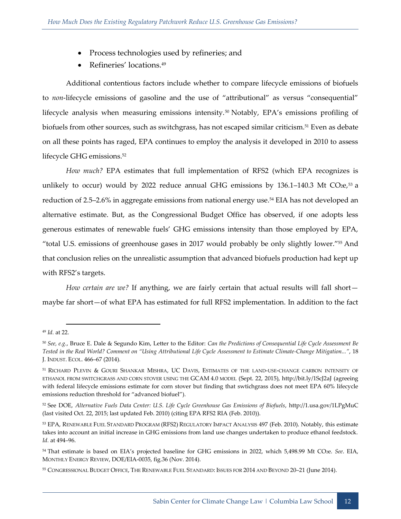- Process technologies used by refineries; and
- Refineries' locations.<sup>49</sup>

Additional contentious factors include whether to compare lifecycle emissions of biofuels to *non*-lifecycle emissions of gasoline and the use of "attributional" as versus "consequential" lifecycle analysis when measuring emissions intensity.<sup>50</sup> Notably, EPA's emissions profiling of biofuels from other sources, such as switchgrass, has not escaped similar criticism.<sup>51</sup> Even as debate on all these points has raged, EPA continues to employ the analysis it developed in 2010 to assess lifecycle GHG emissions.<sup>52</sup>

*How much?* EPA estimates that full implementation of RFS2 (which EPA recognizes is unlikely to occur) would by 2022 reduce annual GHG emissions by  $136.1-140.3$  Mt CO2e,<sup>53</sup> a reduction of 2.5–2.6% in aggregate emissions from national energy use.<sup>54</sup> EIA has not developed an alternative estimate. But, as the Congressional Budget Office has observed, if one adopts less generous estimates of renewable fuels' GHG emissions intensity than those employed by EPA, "total U.S. emissions of greenhouse gases in 2017 would probably be only slightly lower."<sup>55</sup> And that conclusion relies on the unrealistic assumption that advanced biofuels production had kept up with RFS2's targets.

*How certain are we?* If anything, we are fairly certain that actual results will fall shortmaybe far short—of what EPA has estimated for full RFS2 implementation. In addition to the fact

<sup>49</sup> *Id.* at 22.

<sup>50</sup> *See, e.g.*, Bruce E. Dale & Segundo Kim, Letter to the Editor: *Can the Predictions of Consequential Life Cycle Assessment Be Tested in the Real World? Comment on "Using Attributional Life Cycle Assessment to Estimate Climate-Change Mitigation..."*, 18 J. INDUST. ECOL. 466–67 (2014).

<sup>51</sup> RICHARD PLEVIN & GOURI SHANKAR MISHRA, UC DAVIS, ESTIMATES OF THE LAND-USE-CHANGE CARBON INTENSITY OF ETHANOL FROM SWITCHGRASS AND CORN STOVER USING THE GCAM 4.0 MODEL (Sept. 22, 2015), http://bit.ly/1ScJ2aJ (agreeing with federal lifecycle emissions estimate for corn stover but finding that swtichgrass does not meet EPA 60% lifecycle emissions reduction threshold for "advanced biofuel").

<sup>52</sup> See DOE, *Alternative Fuels Data Center: U.S. Life Cycle Greenhouse Gas Emissions of Biofuels*, http://1.usa.gov/1LPgMuC (last visited Oct. 22, 2015; last updated Feb. 2010) (citing EPA RFS2 RIA (Feb. 2010)).

<sup>53</sup> EPA, RENEWABLE FUEL STANDARD PROGRAM (RFS2) REGULATORY IMPACT ANALYSIS 497 (Feb. 2010). Notably, this estimate takes into account an initial increase in GHG emissions from land use changes undertaken to produce ethanol feedstock. *Id.* at 494–96.

<sup>54</sup> That estimate is based on EIA's projected baseline for GHG emissions in 2022, which 5,498.99 Mt CO2e. *See*. EIA, MONTHLY ENERGY REVIEW, DOE/EIA-0035, fig.36 (Nov. 2014).

<sup>55</sup> CONGRESSIONAL BUDGET OFFICE, THE RENEWABLE FUEL STANDARD: ISSUES FOR 2014 AND BEYOND 20–21 (June 2014).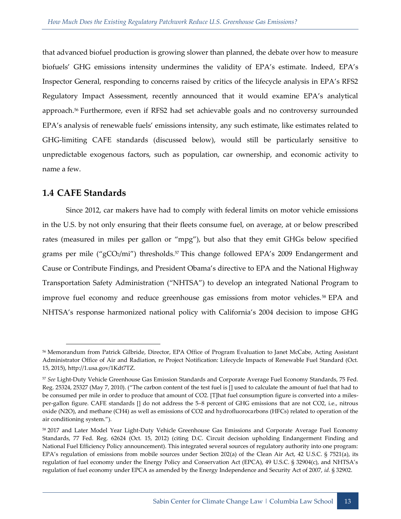that advanced biofuel production is growing slower than planned, the debate over how to measure biofuels' GHG emissions intensity undermines the validity of EPA's estimate. Indeed, EPA's Inspector General, responding to concerns raised by critics of the lifecycle analysis in EPA's RFS2 Regulatory Impact Assessment, recently announced that it would examine EPA's analytical approach.<sup>56</sup> Furthermore, even if RFS2 had set achievable goals and no controversy surrounded EPA's analysis of renewable fuels' emissions intensity, any such estimate, like estimates related to GHG-limiting CAFE standards (discussed below), would still be particularly sensitive to unpredictable exogenous factors, such as population, car ownership, and economic activity to name a few.

# <span id="page-17-0"></span>**1.4 CAFE Standards**

-

Since 2012, car makers have had to comply with federal limits on motor vehicle emissions in the U.S. by not only ensuring that their fleets consume fuel, on average, at or below prescribed rates (measured in miles per gallon or "mpg"), but also that they emit GHGs below specified grams per mile ("gCO2/mi") thresholds.<sup>57</sup> This change followed EPA's 2009 Endangerment and Cause or Contribute Findings, and President Obama's directive to EPA and the National Highway Transportation Safety Administration ("NHTSA") to develop an integrated National Program to improve fuel economy and reduce greenhouse gas emissions from motor vehicles.<sup>58</sup> EPA and NHTSA's response harmonized national policy with California's 2004 decision to impose GHG

<sup>56</sup> Memorandum from Patrick Gilbride, Director, EPA Office of Program Evaluation to Janet McCabe, Acting Assistant Administrator Office of Air and Radiation, re Project Notification: Lifecycle Impacts of Renewable Fuel Standard (Oct. 15, 2015), http://1.usa.gov/1Kdt7TZ.

<sup>57</sup> *See* Light-Duty Vehicle Greenhouse Gas Emission Standards and Corporate Average Fuel Economy Standards, 75 Fed. Reg. 25324, 25327 (May 7, 2010). ("The carbon content of the test fuel is [] used to calculate the amount of fuel that had to be consumed per mile in order to produce that amount of CO2. [T]hat fuel consumption figure is converted into a milesper-gallon figure. CAFE standards [] do not address the 5–8 percent of GHG emissions that are not CO2, i.e., nitrous oxide (N2O), and methane (CH4) as well as emissions of CO2 and hydrofluorocarbons (HFCs) related to operation of the air conditioning system.").

<sup>58</sup> 2017 and Later Model Year Light-Duty Vehicle Greenhouse Gas Emissions and Corporate Average Fuel Economy Standards, 77 Fed. Reg. 62624 (Oct. 15, 2012) (citing D.C. Circuit decision upholding Endangerment Finding and National Fuel Efficiency Policy announcement). This integrated several sources of regulatory authority into one program: EPA's regulation of emissions from mobile sources under Section 202(a) of the Clean Air Act, 42 U.S.C. § 7521(a), its regulation of fuel economy under the Energy Policy and Conservation Act (EPCA), 49 U.S.C. § 32904(c), and NHTSA's regulation of fuel economy under EPCA as amended by the Energy Independence and Security Act of 2007, *id.* § 32902.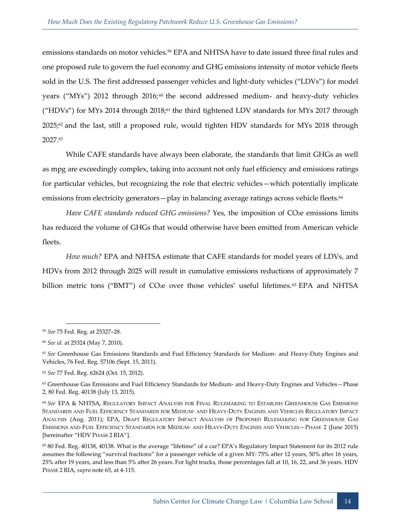emissions standards on motor vehicles.<sup>59</sup> EPA and NHTSA have to date issued three final rules and one proposed rule to govern the fuel economy and GHG emissions intensity of motor vehicle fleets sold in the U.S. The first addressed passenger vehicles and light-duty vehicles ("LDVs") for model years ("MYs") 2012 through 2016;<sup>60</sup> the second addressed medium- and heavy-duty vehicles ("HDVs") for MYs 2014 through 2018;<sup>61</sup> the third tightened LDV standards for MYs 2017 through 2025;<sup>62</sup> and the last, still a proposed rule, would tighten HDV standards for MYs 2018 through 2027.<sup>63</sup>

While CAFE standards have always been elaborate, the standards that limit GHGs as well as mpg are exceedingly complex, taking into account not only fuel efficiency and emissions ratings for particular vehicles, but recognizing the role that electric vehicles—which potentially implicate emissions from electricity generators—play in balancing average ratings across vehicle fleets.<sup>64</sup>

*Have CAFE standards reduced GHG emissions?* Yes, the imposition of CO<sub>2</sub>e emissions limits has reduced the volume of GHGs that would otherwise have been emitted from American vehicle fleets.

*How much?* EPA and NHTSA estimate that CAFE standards for model years of LDVs, and HDVs from 2012 through 2025 will result in cumulative emissions reductions of approximately 7 billion metric tons ("BMT") of CO<sub>2</sub>e over those vehicles' useful lifetimes.<sup>65</sup> EPA and NHTSA

<sup>59</sup> *See* 75 Fed. Reg. at 25327–28.

<sup>60</sup> *See id.* at 25324 (May 7, 2010).

<sup>61</sup> *See* Greenhouse Gas Emissions Standards and Fuel Efficiency Standards for Medium- and Heavy-Duty Engines and Vehicles, 76 Fed. Reg. 57106 (Sept. 15, 2011).

<sup>62</sup> *See* 77 Fed. Reg. 62624 (Oct. 15, 2012).

<sup>&</sup>lt;sup>63</sup> Greenhouse Gas Emissions and Fuel Efficiency Standards for Medium- and Heavy-Duty Engines and Vehicles-Phase 2, 80 Fed. Reg. 40138 (July 13, 2015).

<sup>64</sup> *See* EPA & NHTSA, REGULATORY IMPACT ANALYSIS FOR FINAL RULEMAKING TO ESTABLISH GREENHOUSE GAS EMISSIONS STANDARDS AND FUEL EFFICIENCY STANDARDS FOR MEDIUM- AND HEAVY-DUTY ENGINES AND VEHICLES REGULATORY IMPACT ANALYSIS (Aug. 2011); EPA, DRAFT REGULATORY IMPACT ANALYSIS OF PROPOSED RULEMAKING FOR GREENHOUSE GAS EMISSIONS AND FUEL EFFICIENCY STANDARDS FOR MEDIUM- AND HEAVY-DUTY ENGINES AND VEHICLES—PHASE 2 (June 2015) [hereinafter "HDV PHASE 2 RIA"].

<sup>65</sup> 80 Fed. Reg. 40138, 40138. What is the average "lifetime" of a car? EPA's Regulatory Impact Statement for its 2012 rule assumes the following "survival fractions" for a passenger vehicle of a given MY: 75% after 12 years, 50% after 16 years, 25% after 19 years, and less than 5% after 26 years. For light trucks, those percentages fall at 10, 16, 22, and 36 years. HDV PHASE 2 RIA, *supra* note 65, at 4-115.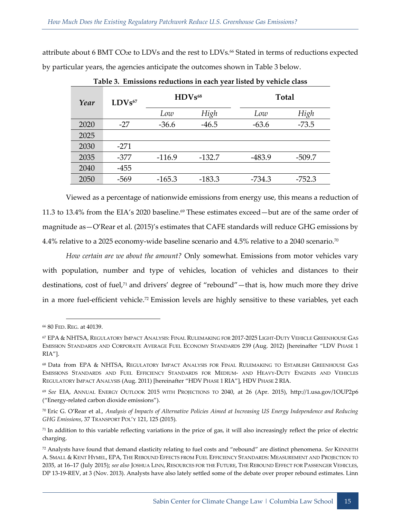attribute about 6 BMT CO<sub>2</sub>e to LDVs and the rest to LDVs.<sup>66</sup> Stated in terms of reductions expected by particular years, the agencies anticipate the outcomes shown in Table 3 below.

| Year | $LDVs$ <sup>67</sup> | $HDVs^{68}$ |          |          | Total    |  |
|------|----------------------|-------------|----------|----------|----------|--|
|      |                      | Low         | High     | Low      | High     |  |
| 2020 | $-27$                | $-36.6$     | $-46.5$  | $-63.6$  | $-73.5$  |  |
| 2025 |                      |             |          |          |          |  |
| 2030 | $-271$               |             |          |          |          |  |
| 2035 | $-377$               | $-116.9$    | $-132.7$ | $-483.9$ | $-509.7$ |  |
| 2040 | $-455$               |             |          |          |          |  |
| 2050 | -569                 | $-165.3$    | $-183.3$ | $-734.3$ | $-752.3$ |  |

**Table 3. Emissions reductions in each year listed by vehicle class**

Viewed as a percentage of nationwide emissions from energy use, this means a reduction of 11.3 to 13.4% from the EIA's 2020 baseline.<sup>69</sup> These estimates exceed—but are of the same order of magnitude as—O'Rear et al. (2015)'s estimates that CAFE standards will reduce GHG emissions by 4.4% relative to a 2025 economy-wide baseline scenario and 4.5% relative to a 2040 scenario.<sup>70</sup>

*How certain are we about the amount?* Only somewhat. Emissions from motor vehicles vary with population, number and type of vehicles, location of vehicles and distances to their destinations, cost of fuel,<sup>71</sup> and drivers' degree of "rebound"—that is, how much more they drive in a more fuel-efficient vehicle.<sup>72</sup> Emission levels are highly sensitive to these variables, yet each

<sup>66</sup> 80 FED. REG. at 40139.

<sup>67</sup> EPA & NHTSA, REGULATORY IMPACT ANALYSIS: FINAL RULEMAKING FOR 2017-2025 LIGHT-DUTY VEHICLE GREENHOUSE GAS EMISSION STANDARDS AND CORPORATE AVERAGE FUEL ECONOMY STANDARDS 239 (Aug. 2012) [hereinafter "LDV PHASE 1 RIA"].

<sup>68</sup> Data from EPA & NHTSA, REGULATORY IMPACT ANALYSIS FOR FINAL RULEMAKING TO ESTABLISH GREENHOUSE GAS EMISSIONS STANDARDS AND FUEL EFFICIENCY STANDARDS FOR MEDIUM- AND HEAVY-DUTY ENGINES AND VEHICLES REGULATORY IMPACT ANALYSIS (Aug. 2011) [hereinafter "HDV PHASE 1 RIA"], HDV PHASE 2 RIA.

<sup>69</sup> *See* EIA, ANNUAL ENERGY OUTLOOK 2015 WITH PROJECTIONS TO 2040, at 26 (Apr. 2015), http://1.usa.gov/1OUP2p6 ("Energy-related carbon dioxide emissions").

<sup>70</sup> Eric G. O'Rear et al., *Analysis of Impacts of Alternative Policies Aimed at Increasing US Energy Independence and Reducing GHG Emissions*, 37 TRANSPORT POL'Y 121, 125 (2015).

 $71$  In addition to this variable reflecting variations in the price of gas, it will also increasingly reflect the price of electric charging.

<sup>72</sup> Analysts have found that demand elasticity relating to fuel costs and "rebound" are distinct phenomena. *See* KENNETH A. SMALL & KENT HYMEL, EPA, THE REBOUND EFFECTS FROM FUEL EFFICIENCY STANDARDS: MEASUREMENT AND PROJECTION TO 2035, at 16–17 (July 2015); *see also* JOSHUA LINN, RESOURCES FOR THE FUTURE, THE REBOUND EFFECT FOR PASSENGER VEHICLES, DP 13-19-REV, at 3 (Nov. 2013). Analysts have also lately settled some of the debate over proper rebound estimates. Linn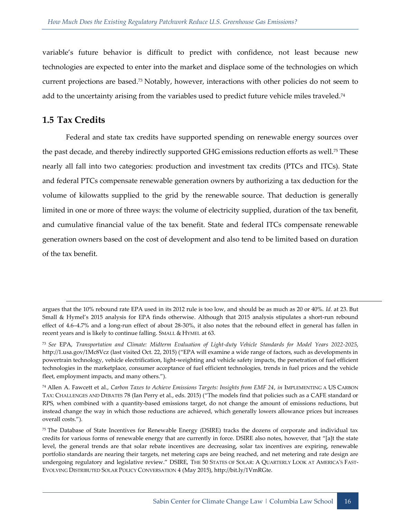variable's future behavior is difficult to predict with confidence, not least because new technologies are expected to enter into the market and displace some of the technologies on which current projections are based.<sup>73</sup> Notably, however, interactions with other policies do not seem to add to the uncertainty arising from the variables used to predict future vehicle miles traveled.<sup>74</sup>

#### <span id="page-20-0"></span>**1.5 Tax Credits**

1

Federal and state tax credits have supported spending on renewable energy sources over the past decade, and thereby indirectly supported GHG emissions reduction efforts as well.<sup>75</sup> These nearly all fall into two categories: production and investment tax credits (PTCs and ITCs). State and federal PTCs compensate renewable generation owners by authorizing a tax deduction for the volume of kilowatts supplied to the grid by the renewable source. That deduction is generally limited in one or more of three ways: the volume of electricity supplied, duration of the tax benefit, and cumulative financial value of the tax benefit. State and federal ITCs compensate renewable generation owners based on the cost of development and also tend to be limited based on duration of the tax benefit.

argues that the 10% rebound rate EPA used in its 2012 rule is too low, and should be as much as 20 or 40%. *Id.* at 23. But Small & Hymel's 2015 analysis for EPA finds otherwise. Although that 2015 analysis stipulates a short-run rebound effect of 4.6–4.7% and a long-run effect of about 28-30%, it also notes that the rebound effect in general has fallen in recent years and is likely to continue falling. SMALL & HYMEL at 63.

<sup>73</sup> *See* EPA, *Transportation and Climate: Midterm Evaluation of Light-duty Vehicle Standards for Model Years 2022-2025*, http://1.usa.gov/1Mc8Vcz (last visited Oct. 22, 2015) ("EPA will examine a wide range of factors, such as developments in powertrain technology, vehicle electrification, light-weighting and vehicle safety impacts, the penetration of fuel efficient technologies in the marketplace, consumer acceptance of fuel efficient technologies, trends in fuel prices and the vehicle fleet, employment impacts, and many others.").

<sup>74</sup> Allen A. Fawcett et al., *Carbon Taxes to Achieve Emissions Targets: Insights from EMF 24*, *in* IMPLEMENTING A US CARBON TAX: CHALLENGES AND DEBATES 78 (Ian Perry et al., eds. 2015) ("The models find that policies such as a CAFE standard or RPS, when combined with a quantity-based emissions target, do not change the amount of emissions reductions, but instead change the way in which those reductions are achieved, which generally lowers allowance prices but increases overall costs.").

<sup>75</sup> The Database of State Incentives for Renewable Energy (DSIRE) tracks the dozens of corporate and individual tax credits for various forms of renewable energy that are currently in force. DSIRE also notes, however, that "[a]t the state level, the general trends are that solar rebate incentives are decreasing, solar tax incentives are expiring, renewable portfolio standards are nearing their targets, net metering caps are being reached, and net metering and rate design are undergoing regulatory and legislative review." DSIRE, THE 50 STATES OF SOLAR: A QUARTERLY LOOK AT AMERICA'S FAST-EVOLVING DISTRIBUTED SOLAR POLICY CONVERSATION 4 (May 2015), http://bit.ly/1VmRGte.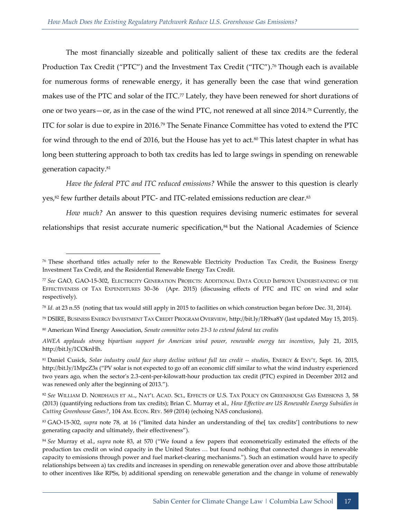The most financially sizeable and politically salient of these tax credits are the federal Production Tax Credit ("PTC") and the Investment Tax Credit ("ITC"). <sup>76</sup> Though each is available for numerous forms of renewable energy, it has generally been the case that wind generation makes use of the PTC and solar of the ITC.<sup>77</sup> Lately, they have been renewed for short durations of one or two years—or, as in the case of the wind PTC, not renewed at all since 2014.<sup>78</sup> Currently, the ITC for solar is due to expire in 2016.<sup>79</sup> The Senate Finance Committee has voted to extend the PTC for wind through to the end of 2016, but the House has yet to act.<sup>80</sup> This latest chapter in what has long been stuttering approach to both tax credits has led to large swings in spending on renewable generation capacity.<sup>81</sup>

*Have the federal PTC and ITC reduced emissions?* While the answer to this question is clearly yes,<sup>82</sup> few further details about PTC- and ITC-related emissions reduction are clear.<sup>83</sup>

*How much?* An answer to this question requires devising numeric estimates for several relationships that resist accurate numeric specification,<sup>84</sup> but the National Academies of Science

<sup>76</sup> These shorthand titles actually refer to the Renewable Electricity Production Tax Credit, the Business Energy Investment Tax Credit, and the Residential Renewable Energy Tax Credit.

<sup>77</sup> *See* GAO, GAO-15-302, ELECTRICITY GENERATION PROJECTS: ADDITIONAL DATA COULD IMPROVE UNDERSTANDING OF THE EFFECTIVENESS OF TAX EXPENDITURES 30–36 (Apr. 2015) (discussing effects of PTC and ITC on wind and solar respectively).

<sup>78</sup> *Id.* at 23 n.55 (noting that tax would still apply in 2015 to facilities on which construction began before Dec. 31, 2014).

<sup>79</sup> DSIRE, BUSINESS ENERGY INVESTMENT TAX CREDIT PROGRAM OVERVIEW, http://bit.ly/1R9xa8Y (last updated May 15, 2015).

<sup>80</sup> American Wind Energy Association, *Senate committee votes 23-3 to extend federal tax credits*

*AWEA applauds strong bipartisan support for American wind power, renewable energy tax incentives*, July 21, 2015, http://bit.ly/1COknHh.

<sup>81</sup> Daniel Cusick, *Solar industry could face sharp decline without full tax credit -- studies*, ENERGY & ENV'T, Sept. 16, 2015, http://bit.ly/1MpcZ3s ("PV solar is not expected to go off an economic cliff similar to what the wind industry experienced two years ago, when the sector's 2.3-cent-per-kilowatt-hour production tax credit (PTC) expired in December 2012 and was renewed only after the beginning of 2013.").

<sup>82</sup> *See* WILLIAM D. NORDHAUS ET AL., NAT'L ACAD. SCI., EFFECTS OF U.S. TAX POLICY ON GREENHOUSE GAS EMISSIONS 3, 58 (2013) (quantifying reductions from tax credits); Brian C. Murray et al., *How Effective are US Renewable Energy Subsidies in Cutting Greenhouse Gases?*, 104 AM. ECON. REV. 569 (2014) (echoing NAS conclusions).

<sup>83</sup> GAO-15-302, *supra* note 78, at 16 ("limited data hinder an understanding of the[ tax credits'] contributions to new generating capacity and ultimately, their effectiveness").

<sup>84</sup> *See* Murray et al., *supra* note 83, at 570 ("We found a few papers that econometrically estimated the effects of the production tax credit on wind capacity in the United States … but found nothing that connected changes in renewable capacity to emissions through power and fuel market-clearing mechanisms."). Such an estimation would have to specify relationships between a) tax credits and increases in spending on renewable generation over and above those attributable to other incentives like RPSs, b) additional spending on renewable generation and the change in volume of renewably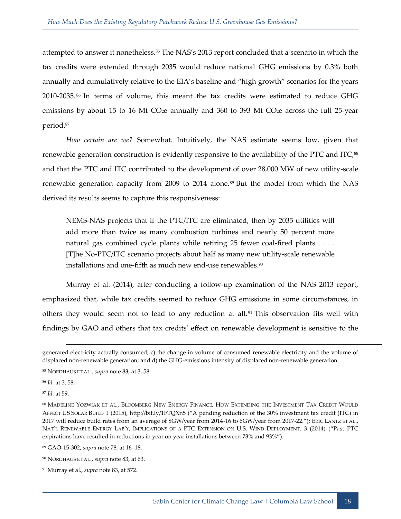attempted to answer it nonetheless.<sup>85</sup> The NAS's 2013 report concluded that a scenario in which the tax credits were extended through 2035 would reduce national GHG emissions by 0.3% both annually and cumulatively relative to the EIA's baseline and "high growth" scenarios for the years 2010-2035.<sup>86</sup> In terms of volume, this meant the tax credits were estimated to reduce GHG emissions by about 15 to 16 Mt CO<sub>2</sub>e annually and 360 to 393 Mt CO<sub>2</sub>e across the full 25-year period.<sup>87</sup>

*How certain are we?* Somewhat. Intuitively, the NAS estimate seems low, given that renewable generation construction is evidently responsive to the availability of the PTC and ITC,<sup>88</sup> and that the PTC and ITC contributed to the development of over 28,000 MW of new utility-scale renewable generation capacity from 2009 to 2014 alone.<sup>89</sup> But the model from which the NAS derived its results seems to capture this responsiveness:

NEMS-NAS projects that if the PTC/ITC are eliminated, then by 2035 utilities will add more than twice as many combustion turbines and nearly 50 percent more natural gas combined cycle plants while retiring 25 fewer coal-fired plants . . . . [T]he No-PTC/ITC scenario projects about half as many new utility-scale renewable installations and one-fifth as much new end-use renewables.<sup>90</sup>

Murray et al. (2014), after conducting a follow-up examination of the NAS 2013 report, emphasized that, while tax credits seemed to reduce GHG emissions in some circumstances, in others they would seem not to lead to any reduction at all.<sup>91</sup> This observation fits well with findings by GAO and others that tax credits' effect on renewable development is sensitive to the

-

<sup>87</sup> *Id.* at 59.

generated electricity actually consumed, c) the change in volume of consumed renewable electricity and the volume of displaced non-renewable generation; and d) the GHG-emissions intensity of displaced non-renewable generation.

<sup>85</sup> NORDHAUS ET AL., *supra* note 83, at 3, 58.

<sup>86</sup> *Id.* at 3, 58.

<sup>88</sup> MADELINE YOZWIAK ET AL., BLOOMBERG NEW ENERGY FINANCE, HOW EXTENDING THE INVESTMENT TAX CREDIT WOULD AFFECT US SOLAR BUILD 1 (2015), http://bit.ly/1FTQXn5 ("A pending reduction of the 30% investment tax credit (ITC) in 2017 will reduce build rates from an average of 8GW/year from 2014-16 to 6GW/year from 2017-22."); ERIC LANTZ ET AL., NAT'L RENEWABLE ENERGY LAB'Y, IMPLICATIONS OF A PTC EXTENSION ON U.S. WIND DEPLOYMENT, 3 (2014) ("Past PTC expirations have resulted in reductions in year on year installations between 73% and 93%").

<sup>89</sup> GAO-15-302, *supra* note 78, at 16–18.

<sup>90</sup> NORDHAUS ET AL., *supra* note 83, at 63.

<sup>91</sup> Murray et al., *supra* note 83, at 572.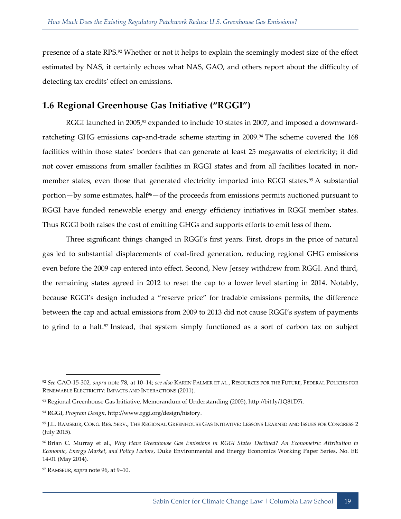presence of a state RPS.<sup>92</sup> Whether or not it helps to explain the seemingly modest size of the effect estimated by NAS, it certainly echoes what NAS, GAO, and others report about the difficulty of detecting tax credits' effect on emissions.

### <span id="page-23-0"></span>**1.6 Regional Greenhouse Gas Initiative ("RGGI")**

RGGI launched in 2005,<sup>93</sup> expanded to include 10 states in 2007, and imposed a downwardratcheting GHG emissions cap-and-trade scheme starting in 2009.<sup>94</sup> The scheme covered the 168 facilities within those states' borders that can generate at least 25 megawatts of electricity; it did not cover emissions from smaller facilities in RGGI states and from all facilities located in nonmember states, even those that generated electricity imported into RGGI states.<sup>95</sup> A substantial portion—by some estimates, half<sup>96</sup>—of the proceeds from emissions permits auctioned pursuant to RGGI have funded renewable energy and energy efficiency initiatives in RGGI member states. Thus RGGI both raises the cost of emitting GHGs and supports efforts to emit less of them.

Three significant things changed in RGGI's first years. First, drops in the price of natural gas led to substantial displacements of coal-fired generation, reducing regional GHG emissions even before the 2009 cap entered into effect. Second, New Jersey withdrew from RGGI. And third, the remaining states agreed in 2012 to reset the cap to a lower level starting in 2014. Notably, because RGGI's design included a "reserve price" for tradable emissions permits, the difference between the cap and actual emissions from 2009 to 2013 did not cause RGGI's system of payments to grind to a halt.<sup>97</sup> Instead, that system simply functioned as a sort of carbon tax on subject

<sup>92</sup> *See* GAO-15-302, *supra* note 78, at 10–14; *see also* KAREN PALMER ET AL., RESOURCES FOR THE FUTURE, FEDERAL POLICIES FOR RENEWABLE ELECTRICITY: IMPACTS AND INTERACTIONS (2011).

<sup>93</sup> Regional Greenhouse Gas Initiative, Memorandum of Understanding (2005), http://bit.ly/1Q81D7i.

<sup>94</sup> RGGI, *Program Design*, http://www.rggi.org/design/history.

<sup>95</sup> J.L. RAMSEUR, CONG. RES. SERV., THE REGIONAL GREENHOUSE GAS INITIATIVE: LESSONS LEARNED AND ISSUES FOR CONGRESS 2 (July 2015).

<sup>96</sup> Brian C. Murray et al., *Why Have Greenhouse Gas Emissions in RGGI States Declined? An Econometric Attribution to Economic, Energy Market, and Policy Factors*, Duke Environmental and Energy Economics Working Paper Series, No. EE 14-01 (May 2014).

<sup>97</sup> RAMSEUR, *supra* note 96, at 9–10.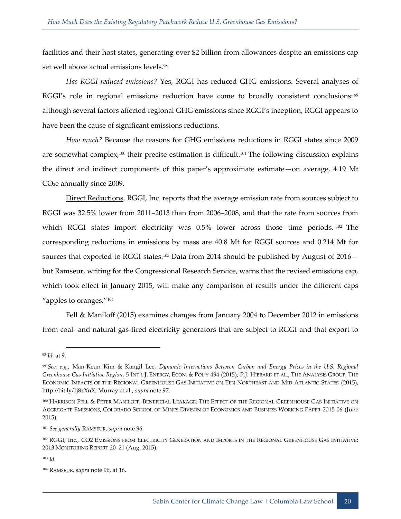facilities and their host states, generating over \$2 billion from allowances despite an emissions cap set well above actual emissions levels.<sup>98</sup>

*Has RGGI reduced emissions?* Yes, RGGI has reduced GHG emissions. Several analyses of RGGI's role in regional emissions reduction have come to broadly consistent conclusions:<sup>99</sup> although several factors affected regional GHG emissions since RGGI's inception, RGGI appears to have been the cause of significant emissions reductions.

*How much?* Because the reasons for GHG emissions reductions in RGGI states since 2009 are somewhat complex,<sup>100</sup> their precise estimation is difficult.<sup>101</sup> The following discussion explains the direct and indirect components of this paper's approximate estimate—on average, 4.19 Mt CO2e annually since 2009.

Direct Reductions. RGGI, Inc. reports that the average emission rate from sources subject to RGGI was 32.5% lower from 2011–2013 than from 2006–2008, and that the rate from sources from which RGGI states import electricity was 0.5% lower across those time periods.<sup>102</sup> The corresponding reductions in emissions by mass are 40.8 Mt for RGGI sources and 0.214 Mt for sources that exported to RGGI states.<sup>103</sup> Data from 2014 should be published by August of  $2016$ but Ramseur, writing for the Congressional Research Service, warns that the revised emissions cap, which took effect in January 2015, will make any comparison of results under the different caps "apples to oranges."<sup>104</sup>

Fell & Maniloff (2015) examines changes from January 2004 to December 2012 in emissions from coal- and natural gas-fired electricity generators that are subject to RGGI and that export to

<sup>98</sup> *Id.* at 9.

<sup>99</sup> *See, e.g.*, Man-Keun Kim & Kangil Lee, *Dynamic Interactions Between Carbon and Energy Prices in the U.S. Regional Greenhouse Gas Initiative Region*, 5 INT'L J. ENERGY, ECON. & POL'Y 494 (2015); P.J. HIBBARD ET AL., THE ANALYSIS GROUP, THE ECONOMIC IMPACTS OF THE REGIONAL GREENHOUSE GAS INITIATIVE ON TEN NORTHEAST AND MID-ATLANTIC STATES (2015), http://bit.ly/1j8zXnX; Murray et al., *supra* note 97.

<sup>100</sup> HARRISON FELL & PETER MANILOFF, BENEFICIAL LEAKAGE: THE EFFECT OF THE REGIONAL GREENHOUSE GAS INITIATIVE ON AGGREGATE EMISSIONS, COLORADO SCHOOL OF MINES DIVISON OF ECONOMICS AND BUSINESS WORKING PAPER 2015-06 (June 2015).

<sup>101</sup> *See generally* RAMSEUR, *supra* note 96.

<sup>102</sup> RGGI, Inc., CO2 EMISSIONS FROM ELECTRICITY GENERATION AND IMPORTS IN THE REGIONAL GREENHOUSE GAS INITIATIVE: 2013 MONITORING REPORT 20–21 (Aug. 2015).

<sup>103</sup> *Id.*

<sup>104</sup> RAMSEUR, *supra* note 96, at 16.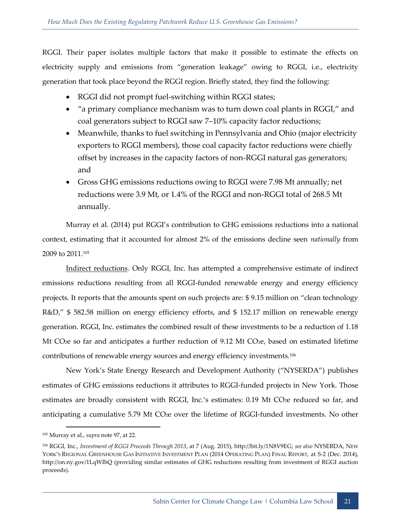RGGI. Their paper isolates multiple factors that make it possible to estimate the effects on electricity supply and emissions from "generation leakage" owing to RGGI, i.e., electricity generation that took place beyond the RGGI region. Briefly stated, they find the following:

- RGGI did not prompt fuel-switching within RGGI states;
- "a primary compliance mechanism was to turn down coal plants in RGGI," and coal generators subject to RGGI saw 7–10% capacity factor reductions;
- Meanwhile, thanks to fuel switching in Pennsylvania and Ohio (major electricity exporters to RGGI members), those coal capacity factor reductions were chiefly offset by increases in the capacity factors of non-RGGI natural gas generators; and
- Gross GHG emissions reductions owing to RGGI were 7.98 Mt annually; net reductions were 3.9 Mt, or 1.4% of the RGGI and non-RGGI total of 268.5 Mt annually.

Murray et al. (2014) put RGGI's contribution to GHG emissions reductions into a national context, estimating that it accounted for almost 2% of the emissions decline seen *nationally* from 2009 to 2011.<sup>105</sup>

Indirect reductions. Only RGGI, Inc. has attempted a comprehensive estimate of indirect emissions reductions resulting from all RGGI-funded renewable energy and energy efficiency projects. It reports that the amounts spent on such projects are: \$ 9.15 million on "clean technology R&D," \$ 582.58 million on energy efficiency efforts, and \$ 152.17 million on renewable energy generation. RGGI, Inc. estimates the combined result of these investments to be a reduction of 1.18 Mt CO<sub>2</sub>e so far and anticipates a further reduction of 9.12 Mt CO<sub>2</sub>e, based on estimated lifetime contributions of renewable energy sources and energy efficiency investments.<sup>106</sup>

New York's State Energy Research and Development Authority ("NYSERDA") publishes estimates of GHG emissions reductions it attributes to RGGI-funded projects in New York. Those estimates are broadly consistent with RGGI, Inc.'s estimates: 0.19 Mt CO<sub>2</sub>e reduced so far, and anticipating a cumulative 5.79 Mt CO<sub>2</sub>e over the lifetime of RGGI-funded investments. No other

<sup>105</sup> Murray et al., *supra* note 97, at 22.

<sup>106</sup> RGGI, Inc., *Investment of RGGI Proceeds Through 2013*, at 7 (Aug. 2015), http://bit.ly/1N8V9EG; *see also* NYSERDA, NEW YORK'S REGIONAL GREENHOUSE GAS INITIATIVE INVESTMENT PLAN (2014 OPERATING PLAN) FINAL REPORT, at S-2 (Dec. 2014), http://on.ny.gov/1LqWIhQ (providing similar estimates of GHG reductions resulting from investment of RGGI auction proceeds).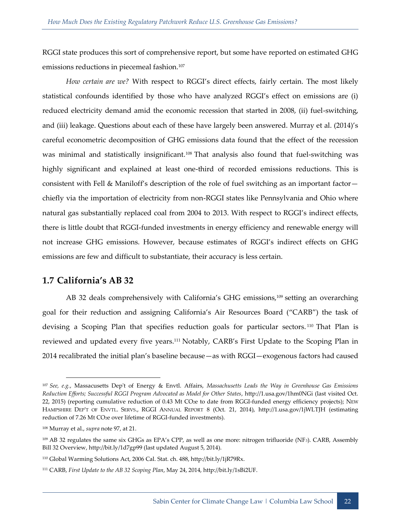RGGI state produces this sort of comprehensive report, but some have reported on estimated GHG emissions reductions in piecemeal fashion.<sup>107</sup>

*How certain are we?* With respect to RGGI's direct effects, fairly certain. The most likely statistical confounds identified by those who have analyzed RGGI's effect on emissions are (i) reduced electricity demand amid the economic recession that started in 2008, (ii) fuel-switching, and (iii) leakage. Questions about each of these have largely been answered. Murray et al. (2014)'s careful econometric decomposition of GHG emissions data found that the effect of the recession was minimal and statistically insignificant.<sup>108</sup> That analysis also found that fuel-switching was highly significant and explained at least one-third of recorded emissions reductions. This is consistent with Fell & Maniloff's description of the role of fuel switching as an important factor chiefly via the importation of electricity from non-RGGI states like Pennsylvania and Ohio where natural gas substantially replaced coal from 2004 to 2013. With respect to RGGI's indirect effects, there is little doubt that RGGI-funded investments in energy efficiency and renewable energy will not increase GHG emissions. However, because estimates of RGGI's indirect effects on GHG emissions are few and difficult to substantiate, their accuracy is less certain.

#### <span id="page-26-0"></span>**1.7 California's AB 32**

AB 32 deals comprehensively with California's GHG emissions,<sup>109</sup> setting an overarching goal for their reduction and assigning California's Air Resources Board ("CARB") the task of devising a Scoping Plan that specifies reduction goals for particular sectors. <sup>110</sup> That Plan is reviewed and updated every five years.<sup>111</sup> Notably, CARB's First Update to the Scoping Plan in 2014 recalibrated the initial plan's baseline because—as with RGGI—exogenous factors had caused

<sup>107</sup> *See, e.g.*, Massacusetts Dep't of Energy & Envtl. Affairs, *Massachusetts Leads the Way in Greenhouse Gas Emissions Reduction Efforts; Successful RGGI Program Advocated as Model for Other States*, http://1.usa.gov/1hm0NGi (last visited Oct. 22, 2015) (reporting cumulative reduction of 0.43 Mt CO<sub>2</sub>e to date from RGGI-funded energy efficiency projects); NEW HAMPSHIRE DEP'T OF ENVTL. SERVS., RGGI ANNUAL REPORT 8 (Oct. 21, 2014), http://1.usa.gov/1jWLTJH (estimating reduction of 7.26 Mt CO2e over lifetime of RGGI-funded investments).

<sup>108</sup> Murray et al., *supra* note 97, at 21.

<sup>109</sup> AB 32 regulates the same six GHGs as EPA's CPP, as well as one more: nitrogen trifluoride (NF3). CARB, Assembly Bill 32 Overview, http://bit.ly/1d7gp99 (last updated August 5, 2014).

<sup>110</sup> Global Warming Solutions Act, 2006 Cal. Stat. ch. 488, http://bit.ly/1jR79Rx.

<sup>111</sup> CARB, *First Update to the AB 32 Scoping Plan*, May 24, 2014, http://bit.ly/1sBi2UF.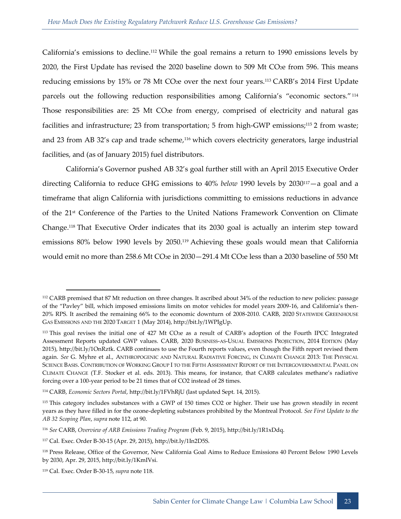California's emissions to decline.<sup>112</sup> While the goal remains a return to 1990 emissions levels by 2020, the First Update has revised the 2020 baseline down to 509 Mt CO2e from 596. This means reducing emissions by 15% or 78 Mt CO<sub>2</sub>e over the next four years.<sup>113</sup> CARB's 2014 First Update parcels out the following reduction responsibilities among California's "economic sectors."<sup>114</sup> Those responsibilities are: 25 Mt CO<sub>2</sub>e from energy, comprised of electricity and natural gas facilities and infrastructure; 23 from transportation; 5 from high-GWP emissions;<sup>115</sup> 2 from waste; and 23 from AB 32's cap and trade scheme,<sup>116</sup> which covers electricity generators, large industrial facilities, and (as of January 2015) fuel distributors.

California's Governor pushed AB 32's goal further still with an April 2015 Executive Order directing California to reduce GHG emissions to 40% *below* 1990 levels by 2030117—a goal and a timeframe that align California with jurisdictions committing to emissions reductions in advance of the 21st Conference of the Parties to the United Nations Framework Convention on Climate Change.<sup>118</sup> That Executive Order indicates that its 2030 goal is actually an interim step toward emissions 80% below 1990 levels by 2050.<sup>119</sup> Achieving these goals would mean that California would emit no more than 258.6 Mt CO<sub>2</sub>e in 2030 – 291.4 Mt CO<sub>2</sub>e less than a 2030 baseline of 550 Mt

<sup>112</sup> CARB premised that 87 Mt reduction on three changes. It ascribed about 34% of the reduction to new policies: passage of the "Pavley" bill, which imposed emissions limits on motor vehicles for model years 2009-16, and California's then-20% RPS. It ascribed the remaining 66% to the economic downturn of 2008-2010. CARB, 2020 STATEWIDE GREENHOUSE GAS EMISSIONS AND THE 2020 TARGET 1 (May 2014), http://bit.ly/1WPIgUp.

<sup>113</sup> This goal revises the initial one of 427 Mt CO2e as a result of CARB's adoption of the Fourth IPCC Integrated Assessment Reports updated GWP values. CARB, 2020 BUSINESS-AS-USUAL EMISSIONS PROJECTION, 2014 EDITION (May 2015), http://bit.ly/1OnRztk. CARB continues to use the Fourth reports values, even though the Fifth report revised them again. *See* G. Myhre et al., ANTHROPOGENIC AND NATURAL RADIATIVE FORCING, IN CLIMATE CHANGE 2013: THE PHYSICAL SCIENCE BASIS. CONTRIBUTION OF WORKING GROUP I TO THE FIFTH ASSESSMENT REPORT OF THE INTERGOVERNMENTAL PANEL ON CLIMATE CHANGE (T.F. Stocker et al. eds. 2013). This means, for instance, that CARB calculates methane's radiative forcing over a 100-year period to be 21 times that of CO2 instead of 28 times.

<sup>114</sup> CARB, *Economic Sectors Portal*, http://bit.ly/1FVhRjU (last updated Sept. 14, 2015).

<sup>115</sup> This category includes substances with a GWP of 150 times CO2 or higher. Their use has grown steadily in recent years as they have filled in for the ozone-depleting substances prohibited by the Montreal Protocol. *See First Update to the AB 32 Scoping Plan*, *supra* note 112, at 90.

<sup>116</sup> *See* CARB, *Overview of ARB Emissions Trading Program* (Feb. 9, 2015), http://bit.ly/1R1xDdq.

<sup>117</sup> Cal. Exec. Order B-30-15 (Apr. 29, 2015), http://bit.ly/1In2D5S.

<sup>118</sup> Press Release, Office of the Governor, New California Goal Aims to Reduce Emissions 40 Percent Below 1990 Levels by 2030, Apr. 29, 2015, http://bit.ly/1KmIVsi.

<sup>119</sup> Cal. Exec. Order B-30-15, *supra* note 118.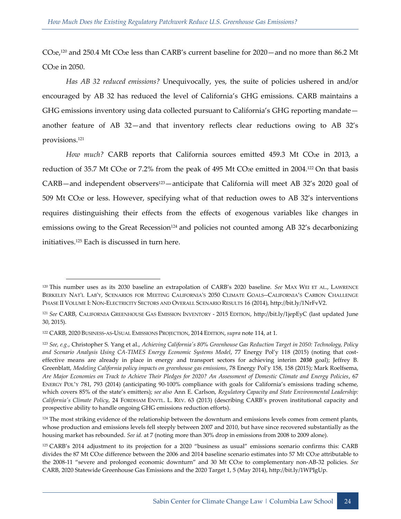CO2e,<sup>120</sup> and 250.4 Mt CO2e less than CARB's current baseline for 2020—and no more than 86.2 Mt CO2e in 2050.

*Has AB 32 reduced emissions?* Unequivocally, yes, the suite of policies ushered in and/or encouraged by AB 32 has reduced the level of California's GHG emissions. CARB maintains a GHG emissions inventory using data collected pursuant to California's GHG reporting mandate another feature of AB 32—and that inventory reflects clear reductions owing to AB 32's provisions.<sup>121</sup>

How much? CARB reports that California sources emitted 459.3 Mt CO<sub>2</sub>e in 2013, a reduction of 35.7 Mt CO<sub>2</sub>e or 7.2% from the peak of 495 Mt CO<sub>2</sub>e emitted in 2004.<sup>122</sup> On that basis CARB—and independent observers<sup>123</sup>—anticipate that California will meet AB 32's 2020 goal of 509 Mt CO2e or less. However, specifying what of that reduction owes to AB 32's interventions requires distinguishing their effects from the effects of exogenous variables like changes in emissions owing to the Great Recession<sup>124</sup> and policies not counted among AB 32's decarbonizing initiatives.<sup>125</sup> Each is discussed in turn here.

-

<sup>124</sup> The most striking evidence of the relationship between the downturn and emissions levels comes from cement plants, whose production and emissions levels fell steeply between 2007 and 2010, but have since recovered substantially as the housing market has rebounded. *See id.* at 7 (noting more than 30% drop in emissions from 2008 to 2009 alone).

<sup>120</sup> This number uses as its 2030 baseline an extrapolation of CARB's 2020 baseline. *See* MAX WEI ET AL., LAWRENCE BERKELEY NAT'L LAB'Y, SCENARIOS FOR MEETING CALIFORNIA'S 2050 CLIMATE GOALS--CALIFORNIA'S CARBON CHALLENGE PHASE II VOLUME I: NON-ELECTRICITY SECTORS AND OVERALL SCENARIO RESULTS 16 (2014), http://bit.ly/1NrFvV2.

<sup>121</sup> *See* CARB, CALIFORNIA GREENHOUSE GAS EMISSION INVENTORY - 2015 EDITION, http://bit.ly/1jepEyC (last updated June 30, 2015).

<sup>122</sup> CARB, 2020 BUSINESS-AS-USUAL EMISSIONS PROJECTION, 2014 EDITION, *supra* note 114, at 1.

<sup>123</sup> *See, e.g.*, Christopher S. Yang et al., *Achieving California's 80% Greenhouse Gas Reduction Target in 2050: Technology, Policy and Scenario Analysis Using CA-TIMES Energy Economic Systems Model*, 77 Energy Pol'y 118 (2015) (noting that costeffective means are already in place in energy and transport sectors for achieving interim *2030* goal); Jeffrey B. Greenblatt, *Modeling California policy impacts on greenhouse gas emissions*, 78 Energy Pol'y 158, 158 (2015); Mark Roelfsema, *Are Major Economies on Track to Achieve Their Pledges for 2020? An Assessment of Domestic Climate and Energy Policies*, 67 ENERGY POL'Y 781, 793 (2014) (anticipating 90-100% compliance with goals for California's emissions trading scheme, which covers 85% of the state's emitters); *see also* Ann E. Carlson, *Regulatory Capacity and State Environmental Leadership: California's Climate Policy*, 24 FORDHAM ENVTL. L. REV. 63 (2013) (describing CARB's proven institutional capacity and prospective ability to handle ongoing GHG emissions reduction efforts).

<sup>125</sup> CARB's 2014 adjustment to its projection for a 2020 "business as usual" emissions scenario confirms this: CARB divides the 87 Mt CO<sub>2</sub>e difference between the 2006 and 2014 baseline scenario estimates into 57 Mt CO<sub>2</sub>e attributable to the 2008-11 "severe and prolonged economic downturn" and 30 Mt CO2e to complementary non-AB-32 policies. *See*  CARB, 2020 Statewide Greenhouse Gas Emissions and the 2020 Target 1, 5 (May 2014), http://bit.ly/1WPIgUp.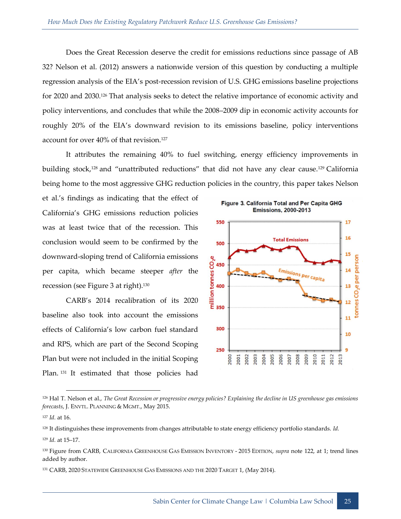Does the Great Recession deserve the credit for emissions reductions since passage of AB 32? Nelson et al. (2012) answers a nationwide version of this question by conducting a multiple regression analysis of the EIA's post-recession revision of U.S. GHG emissions baseline projections for 2020 and 2030.<sup>126</sup> That analysis seeks to detect the relative importance of economic activity and policy interventions, and concludes that while the 2008–2009 dip in economic activity accounts for roughly 20% of the EIA's downward revision to its emissions baseline, policy interventions account for over 40% of that revision.<sup>127</sup>

It attributes the remaining 40% to fuel switching, energy efficiency improvements in building stock,<sup>128</sup> and "unattributed reductions" that did not have any clear cause.<sup>129</sup> California being home to the most aggressive GHG reduction policies in the country, this paper takes Nelson

et al.'s findings as indicating that the effect of California's GHG emissions reduction policies was at least twice that of the recession. This conclusion would seem to be confirmed by the downward-sloping trend of California emissions<br>
per capita, which became steeper *after* the<br>
recession (see Figure 3 at right).<sup>130</sup><br>
CARB's 2014 recalibration of its 2020<br>
baseline also took into account its and the **ab** per capita, which became steeper *after* the recession (see Figure 3 at right).<sup>130</sup>

CARB's 2014 recalibration of its 2020 baseline also took into account the emissions effects of California's low carbon fuel standard and RPS, which are part of the Second Scoping Plan but were not included in the initial Scoping Plan. 131 It estimated that those policies had



<sup>126</sup> Hal T. Nelson et al., *The Great Recession or progressive energy policies? Explaining the decline in US greenhouse gas emissions forecasts*, J. ENVTL. PLANNING & MGMT., May 2015.

<sup>127</sup> *Id.* at 16.

<sup>128</sup> It distinguishes these improvements from changes attributable to state energy efficiency portfolio standards. *Id.*

<sup>129</sup> *Id.* at 15–17.

<sup>130</sup> Figure from CARB, CALIFORNIA GREENHOUSE GAS EMISSION INVENTORY - 2015 EDITION, *supra* note 122, at 1; trend lines added by author.

<sup>&</sup>lt;sup>131</sup> CARB, 2020 STATEWIDE GREENHOUSE GAS EMISSIONS AND THE 2020 TARGET 1, (May 2014).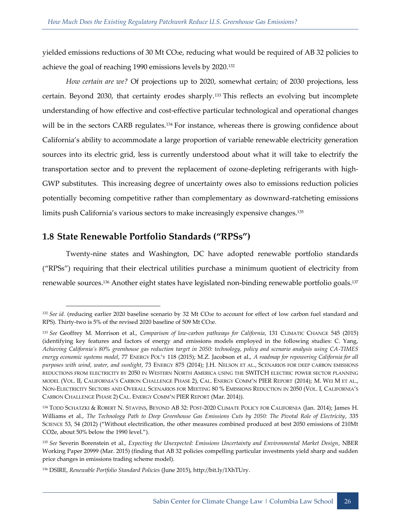yielded emissions reductions of 30 Mt CO2e, reducing what would be required of AB 32 policies to achieve the goal of reaching 1990 emissions levels by 2020.<sup>132</sup>

*How certain are we?* Of projections up to 2020, somewhat certain; of 2030 projections, less certain. Beyond 2030, that certainty erodes sharply.<sup>133</sup> This reflects an evolving but incomplete understanding of how effective and cost-effective particular technological and operational changes will be in the sectors CARB regulates.<sup>134</sup> For instance, whereas there is growing confidence about California's ability to accommodate a large proportion of variable renewable electricity generation sources into its electric grid, less is currently understood about what it will take to electrify the transportation sector and to prevent the replacement of ozone-depleting refrigerants with high-GWP substitutes. This increasing degree of uncertainty owes also to emissions reduction policies potentially becoming competitive rather than complementary as downward-ratcheting emissions limits push California's various sectors to make increasingly expensive changes.<sup>135</sup>

#### <span id="page-30-0"></span>**1.8 State Renewable Portfolio Standards ("RPSs")**

-

Twenty-nine states and Washington, DC have adopted renewable portfolio standards ("RPSs") requiring that their electrical utilities purchase a minimum quotient of electricity from renewable sources.<sup>136</sup> Another eight states have legislated non-binding renewable portfolio goals.<sup>137</sup>

<sup>&</sup>lt;sup>132</sup> See id. (reducing earlier 2020 baseline scenario by 32 Mt CO<sub>2</sub>e to account for effect of low carbon fuel standard and RPS). Thirty-two is 5% of the revised 2020 baseline of 509 Mt CO2e.

<sup>133</sup> *See* Geoffrey M. Morrison et al., *Comparison of low-carbon pathways for California*, 131 CLIMATIC CHANGE 545 (2015) (identifying key features and factors of energy and emissions models employed in the following studies: C. Yang, *Achieving California's 80% greenhouse gas reduction target in 2050: technology, policy and scenario analysis using CA-TIMES energy economic systems model*, 77 ENERGY POL'Y 118 (2015); M.Z. Jacobson et al., *A roadmap for repowering California for all purposes with wind, water, and sunlight*, 73 ENERGY 875 (2014); J.H. NELSON ET AL., SCENARIOS FOR DEEP CARBON EMISSIONS REDUCTIONS FROM ELECTRICITY BY 2050 IN WESTERN NORTH AMERICA USING THE SWITCH ELECTRIC POWER SECTOR PLANNING MODEL (VOL. II, CALIFORNIA'S CARBON CHALLENGE PHASE 2), CAL. ENERGY COMM'N PIER REPORT (2014); M. WEI M ET AL., NON-ELECTRICITY SECTORS AND OVERALL SCENARIOS FOR MEETING 80 % EMISSIONS REDUCTION IN 2050 (VOL. I, CALIFORNIA'S CARBON CHALLENGE PHASE 2) CAL. ENERGY COMM'N PIER REPORT (Mar. 2014)).

<sup>134</sup> TODD SCHATZKI & ROBERT N. STAVINS, BEYOND AB 32: POST-2020 CLIMATE POLICY FOR CALIFORNIA (Jan. 2014); James H. Williams et al., *The Technology Path to Deep Greenhouse Gas Emissions Cuts by 2050: The Pivotal Role of Electricity*, 335 SCIENCE 53, 54 (2012) ("Without electrification, the other measures combined produced at best 2050 emissions of 210Mt CO2e, about 50% below the 1990 level.").

<sup>135</sup> *See* Severin Borenstein et al., *Expecting the Unexpected: Emissions Uncertainty and Environmental Market Design*, NBER Working Paper 20999 (Mar. 2015) (finding that AB 32 policies compelling particular investments yield sharp and sudden price changes in emissions trading scheme model).

<sup>136</sup> DSIRE, *Renewable Portfolio Standard Policies* (June 2015), http://bit.ly/1XhTUry.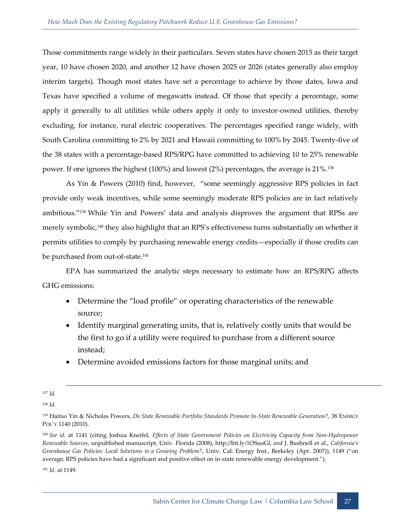Those commitments range widely in their particulars. Seven states have chosen 2015 as their target year, 10 have chosen 2020, and another 12 have chosen 2025 or 2026 (states generally also employ interim targets). Though most states have set a percentage to achieve by those dates, Iowa and Texas have specified a volume of megawatts instead. Of those that specify a percentage, some apply it generally to all utilities while others apply it only to investor-owned utilities, thereby excluding, for instance, rural electric cooperatives. The percentages specified range widely, with South Carolina committing to 2% by 2021 and Hawaii committing to 100% by 2045. Twenty-five of the 38 states with a percentage-based RPS/RPG have committed to achieving 10 to 25% renewable power. If one ignores the highest (100%) and lowest (2%) percentages, the average is 21%.<sup>138</sup>

As Yin & Powers (2010) find, however, "some seemingly aggressive RPS policies in fact provide only weak incentives, while some seemingly moderate RPS policies are in fact relatively ambitious."<sup>139</sup> While Yin and Powers' data and analysis disproves the argument that RPSs are merely symbolic,<sup>140</sup> they also highlight that an RPS's effectiveness turns substantially on whether it permits utilities to comply by purchasing renewable energy credits—especially if those credits can be purchased from out-of-state.<sup>141</sup>

EPA has summarized the analytic steps necessary to estimate how an RPS/RPG affects GHG emissions:

- Determine the "load profile" or operating characteristics of the renewable source;
- Identify marginal generating units, that is, relatively costly units that would be the first to go if a utility were required to purchase from a different source instead;
- Determine avoided emissions factors for those marginal units; and

-

<sup>141</sup> *Id.* at 1149.

<sup>137</sup> *Id.*

<sup>138</sup> *Id.*

<sup>139</sup> Haitao Yin & Nicholas Powers, *Do State Renewable Portfolio Standards Promote In-State Renewable Generation?*, 38 ENERGY POL'Y 1140 (2010).

<sup>140</sup> *See id.* at 1141 (citing Joshua Kneifel, *Effects of State Government Policies on Electricity Capacity from Non-Hydropower Renewable Sources*, unpublished manuscript, Univ. Florida (2008), http://bit.ly/1OSuoGl, *and* J. Bushnell et al., *California's Greenhouse Gas Policies: Local Solutions to a Growing Problem?*, Univ. Cal. Energy Inst., Berkeley (Apr. 2007)), 1149 ("on average, RPS policies have had a significant and positive effect on in-state renewable energy development.").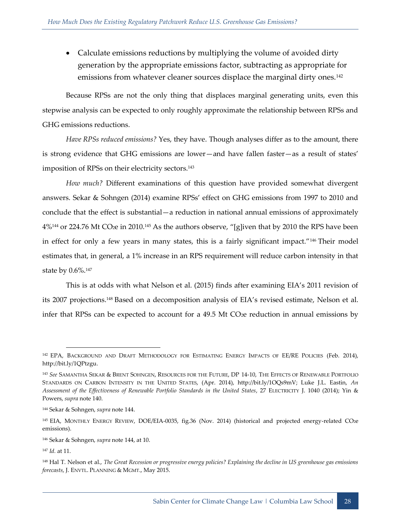• Calculate emissions reductions by multiplying the volume of avoided dirty generation by the appropriate emissions factor, subtracting as appropriate for emissions from whatever cleaner sources displace the marginal dirty ones.<sup>142</sup>

Because RPSs are not the only thing that displaces marginal generating units, even this stepwise analysis can be expected to only roughly approximate the relationship between RPSs and GHG emissions reductions.

*Have RPSs reduced emissions?* Yes, they have. Though analyses differ as to the amount, there is strong evidence that GHG emissions are lower—and have fallen faster—as a result of states' imposition of RPSs on their electricity sectors.<sup>143</sup>

*How much?* Different examinations of this question have provided somewhat divergent answers. Sekar & Sohngen (2014) examine RPSs' effect on GHG emissions from 1997 to 2010 and conclude that the effect is substantial—a reduction in national annual emissions of approximately 4%<sup>144</sup> or 224.76 Mt CO<sub>2</sub>e in 2010.<sup>145</sup> As the authors observe, "[g]iven that by 2010 the RPS have been in effect for only a few years in many states, this is a fairly significant impact."<sup>146</sup> Their model estimates that, in general, a 1% increase in an RPS requirement will reduce carbon intensity in that state by 0.6%.<sup>147</sup>

This is at odds with what Nelson et al. (2015) finds after examining EIA's 2011 revision of its 2007 projections.<sup>148</sup> Based on a decomposition analysis of EIA's revised estimate, Nelson et al. infer that RPSs can be expected to account for a 49.5 Mt CO<sub>2</sub>e reduction in annual emissions by

<sup>142</sup> EPA, BACKGROUND AND DRAFT METHODOLOGY FOR ESTIMATING ENERGY IMPACTS OF EE/RE POLICIES (Feb. 2014), http://bit.ly/1QPtzgu.

<sup>143</sup> *See* SAMANTHA SEKAR & BRENT SOHNGEN, RESOURCES FOR THE FUTURE, DP 14-10, THE EFFECTS OF RENEWABLE PORTFOLIO STANDARDS ON CARBON INTENSITY IN THE UNITED STATES, (Apr. 2014), http://bit.ly/1OQs9mV; Luke J.L. Eastin, *An Assessment of the Effectiveness of Renewable Portfolio Standards in the United States*, 27 ELECTRICITY J. 1040 (2014); Yin & Powers, *supra* note 140.

<sup>144</sup> Sekar & Sohngen, *supra* note 144.

<sup>145</sup> EIA, MONTHLY ENERGY REVIEW, DOE/EIA-0035, fig.36 (Nov. 2014) (historical and projected energy-related CO2e emissions).

<sup>146</sup> Sekar & Sohngen, *supra* note 144, at 10.

<sup>147</sup> *Id.* at 11.

<sup>148</sup> Hal T. Nelson et al., *The Great Recession or progressive energy policies? Explaining the decline in US greenhouse gas emissions forecasts*, J. ENVTL. PLANNING & MGMT., May 2015.